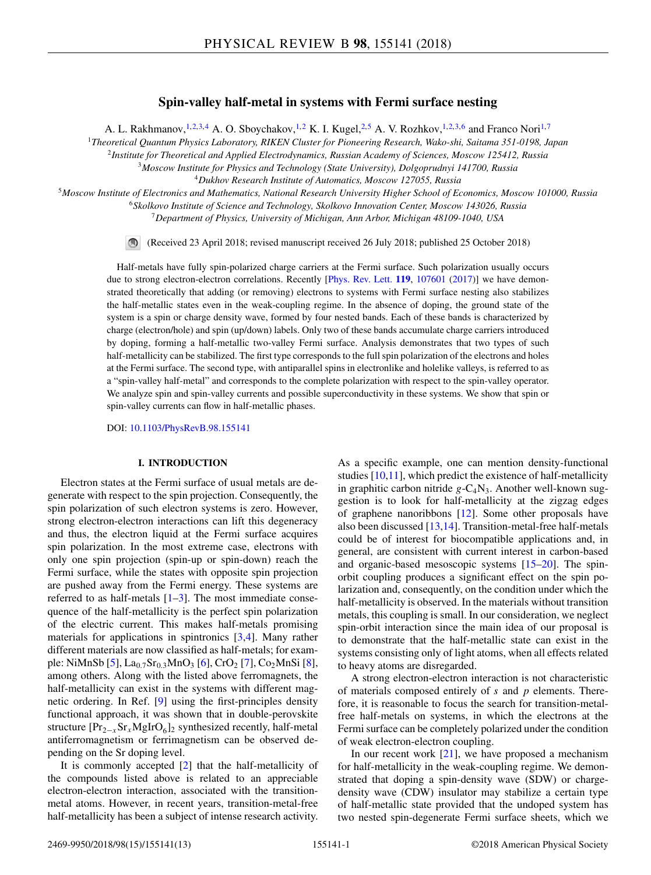# **Spin-valley half-metal in systems with Fermi surface nesting**

A. L. Rakhmanov,<sup>1,2,3,4</sup> A. O. Sboychakov,<sup>1,2</sup> K. I. Kugel,<sup>2,5</sup> A. V. Rozhkov,<sup>1,2,3,6</sup> and Franco Nori<sup>1,7</sup>

<sup>1</sup>*Theoretical Quantum Physics Laboratory, RIKEN Cluster for Pioneering Research, Wako-shi, Saitama 351-0198, Japan*

<sup>2</sup>*Institute for Theoretical and Applied Electrodynamics, Russian Academy of Sciences, Moscow 125412, Russia*

<sup>3</sup>*Moscow Institute for Physics and Technology (State University), Dolgoprudnyi 141700, Russia* <sup>4</sup>*Dukhov Research Institute of Automatics, Moscow 127055, Russia*

<sup>5</sup>*Moscow Institute of Electronics and Mathematics, National Research University Higher School of Economics, Moscow 101000, Russia*

<sup>6</sup>*Skolkovo Institute of Science and Technology, Skolkovo Innovation Center, Moscow 143026, Russia*

<sup>7</sup>*Department of Physics, University of Michigan, Ann Arbor, Michigan 48109-1040, USA*

 $\circledcirc$ (Received 23 April 2018; revised manuscript received 26 July 2018; published 25 October 2018)

Half-metals have fully spin-polarized charge carriers at the Fermi surface. Such polarization usually occurs due to strong electron-electron correlations. Recently [\[Phys. Rev. Lett.](https://doi.org/10.1103/PhysRevLett.119.107601) **[119](https://doi.org/10.1103/PhysRevLett.119.107601)**, [107601](https://doi.org/10.1103/PhysRevLett.119.107601) [\(2017\)](https://doi.org/10.1103/PhysRevLett.119.107601)] we have demonstrated theoretically that adding (or removing) electrons to systems with Fermi surface nesting also stabilizes the half-metallic states even in the weak-coupling regime. In the absence of doping, the ground state of the system is a spin or charge density wave, formed by four nested bands. Each of these bands is characterized by charge (electron/hole) and spin (up/down) labels. Only two of these bands accumulate charge carriers introduced by doping, forming a half-metallic two-valley Fermi surface. Analysis demonstrates that two types of such half-metallicity can be stabilized. The first type corresponds to the full spin polarization of the electrons and holes at the Fermi surface. The second type, with antiparallel spins in electronlike and holelike valleys, is referred to as a "spin-valley half-metal" and corresponds to the complete polarization with respect to the spin-valley operator. We analyze spin and spin-valley currents and possible superconductivity in these systems. We show that spin or spin-valley currents can flow in half-metallic phases.

DOI: [10.1103/PhysRevB.98.155141](https://doi.org/10.1103/PhysRevB.98.155141)

### **I. INTRODUCTION**

Electron states at the Fermi surface of usual metals are degenerate with respect to the spin projection. Consequently, the spin polarization of such electron systems is zero. However, strong electron-electron interactions can lift this degeneracy and thus, the electron liquid at the Fermi surface acquires spin polarization. In the most extreme case, electrons with only one spin projection (spin-up or spin-down) reach the Fermi surface, while the states with opposite spin projection are pushed away from the Fermi energy. These systems are referred to as half-metals  $[1-3]$ . The most immediate consequence of the half-metallicity is the perfect spin polarization of the electric current. This makes half-metals promising materials for applications in spintronics [\[3,4\]](#page-11-0). Many rather different materials are now classified as half-metals; for exam-ple: NiMnSb [\[5\]](#page-11-0), La<sub>0.7</sub>Sr<sub>0.3</sub>MnO<sub>3</sub> [\[6\]](#page-11-0), CrO<sub>2</sub> [\[7\]](#page-11-0), Co<sub>2</sub>MnSi [\[8\]](#page-11-0), among others. Along with the listed above ferromagnets, the half-metallicity can exist in the systems with different magnetic ordering. In Ref. [\[9\]](#page-11-0) using the first-principles density functional approach, it was shown that in double-perovskite structure  $[Pr_{2-x}Sr_xMglrO_6]_2$  synthesized recently, half-metal antiferromagnetism or ferrimagnetism can be observed depending on the Sr doping level.

It is commonly accepted [\[2\]](#page-11-0) that the half-metallicity of the compounds listed above is related to an appreciable electron-electron interaction, associated with the transitionmetal atoms. However, in recent years, transition-metal-free half-metallicity has been a subject of intense research activity.

As a specific example, one can mention density-functional studies [\[10,11\]](#page-11-0), which predict the existence of half-metallicity in graphitic carbon nitride  $g - C_4N_3$ . Another well-known suggestion is to look for half-metallicity at the zigzag edges of graphene nanoribbons [\[12\]](#page-11-0). Some other proposals have also been discussed [\[13,14\]](#page-12-0). Transition-metal-free half-metals could be of interest for biocompatible applications and, in general, are consistent with current interest in carbon-based and organic-based mesoscopic systems [\[15–20\]](#page-12-0). The spinorbit coupling produces a significant effect on the spin polarization and, consequently, on the condition under which the half-metallicity is observed. In the materials without transition metals, this coupling is small. In our consideration, we neglect spin-orbit interaction since the main idea of our proposal is to demonstrate that the half-metallic state can exist in the systems consisting only of light atoms, when all effects related to heavy atoms are disregarded.

A strong electron-electron interaction is not characteristic of materials composed entirely of *s* and *p* elements. Therefore, it is reasonable to focus the search for transition-metalfree half-metals on systems, in which the electrons at the Fermi surface can be completely polarized under the condition of weak electron-electron coupling.

In our recent work  $[21]$ , we have proposed a mechanism for half-metallicity in the weak-coupling regime. We demonstrated that doping a spin-density wave (SDW) or chargedensity wave (CDW) insulator may stabilize a certain type of half-metallic state provided that the undoped system has two nested spin-degenerate Fermi surface sheets, which we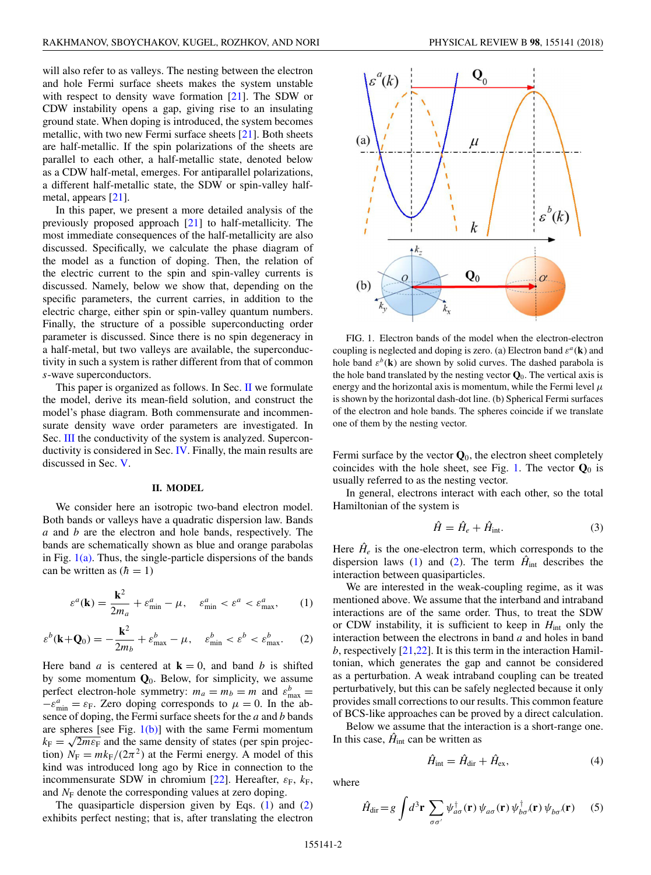<span id="page-1-0"></span>will also refer to as valleys. The nesting between the electron and hole Fermi surface sheets makes the system unstable with respect to density wave formation [\[21\]](#page-12-0). The SDW or CDW instability opens a gap, giving rise to an insulating ground state. When doping is introduced, the system becomes metallic, with two new Fermi surface sheets [\[21\]](#page-12-0). Both sheets are half-metallic. If the spin polarizations of the sheets are parallel to each other, a half-metallic state, denoted below as a CDW half-metal, emerges. For antiparallel polarizations, a different half-metallic state, the SDW or spin-valley halfmetal, appears [\[21\]](#page-12-0).

In this paper, we present a more detailed analysis of the previously proposed approach [\[21\]](#page-12-0) to half-metallicity. The most immediate consequences of the half-metallicity are also discussed. Specifically, we calculate the phase diagram of the model as a function of doping. Then, the relation of the electric current to the spin and spin-valley currents is discussed. Namely, below we show that, depending on the specific parameters, the current carries, in addition to the electric charge, either spin or spin-valley quantum numbers. Finally, the structure of a possible superconducting order parameter is discussed. Since there is no spin degeneracy in a half-metal, but two valleys are available, the superconductivity in such a system is rather different from that of common *s*-wave superconductors.

This paper is organized as follows. In Sec. II we formulate the model, derive its mean-field solution, and construct the model's phase diagram. Both commensurate and incommensurate density wave order parameters are investigated. In Sec. [III](#page-8-0) the conductivity of the system is analyzed. Superconductivity is considered in Sec. [IV.](#page-9-0) Finally, the main results are discussed in Sec. [V.](#page-10-0)

#### **II. MODEL**

We consider here an isotropic two-band electron model. Both bands or valleys have a quadratic dispersion law. Bands *a* and *b* are the electron and hole bands, respectively. The bands are schematically shown as blue and orange parabolas in Fig.  $1(a)$ . Thus, the single-particle dispersions of the bands can be written as  $(h = 1)$ 

$$
\varepsilon^{a}(\mathbf{k}) = \frac{\mathbf{k}^{2}}{2m_{a}} + \varepsilon^{a}_{\min} - \mu, \quad \varepsilon^{a}_{\min} < \varepsilon^{a} < \varepsilon^{a}_{\max}, \tag{1}
$$

$$
\varepsilon^{b}(\mathbf{k}+\mathbf{Q}_{0})=-\frac{\mathbf{k}^{2}}{2m_{b}}+\varepsilon_{\max}^{b}-\mu, \quad \varepsilon_{\min}^{b}<\varepsilon^{b}<\varepsilon_{\max}^{b}.\tag{2}
$$

Here band *a* is centered at  $\mathbf{k} = 0$ , and band *b* is shifted by some momentum  $Q_0$ . Below, for simplicity, we assume perfect electron-hole symmetry:  $m_a = m_b = m$  and  $\varepsilon_{\text{max}}^b =$  $-\varepsilon_{\min}^a = \varepsilon_F$ . Zero doping corresponds to  $\mu = 0$ . In the absence of doping, the Fermi surface sheets for the *a* and *b* bands are spheres [see Fig.  $1(b)$ ] with the same Fermi momentum  $k_F = \sqrt{2m\epsilon_F}$  and the same density of states (per spin projection)  $N_F = mk_F/(2\pi^2)$  at the Fermi energy. A model of this kind was introduced long ago by Rice in connection to the incommensurate SDW in chromium [\[22\]](#page-12-0). Hereafter,  $\varepsilon_F$ ,  $k_F$ , and  $N_F$  denote the corresponding values at zero doping.

The quasiparticle dispersion given by Eqs. (1) and (2) exhibits perfect nesting; that is, after translating the electron



FIG. 1. Electron bands of the model when the electron-electron coupling is neglected and doping is zero. (a) Electron band  $\varepsilon^a(\mathbf{k})$  and hole band  $\varepsilon^b(\mathbf{k})$  are shown by solid curves. The dashed parabola is the hole band translated by the nesting vector  $\mathbf{Q}_0$ . The vertical axis is energy and the horizontal axis is momentum, while the Fermi level *μ* is shown by the horizontal dash-dot line. (b) Spherical Fermi surfaces of the electron and hole bands. The spheres coincide if we translate one of them by the nesting vector.

Fermi surface by the vector  $\mathbf{Q}_0$ , the electron sheet completely coincides with the hole sheet, see Fig. 1. The vector  $\mathbf{Q}_0$  is usually referred to as the nesting vector.

In general, electrons interact with each other, so the total Hamiltonian of the system is

$$
\hat{H} = \hat{H}_e + \hat{H}_{\text{int}}.\tag{3}
$$

Here  $\hat{H}_e$  is the one-electron term, which corresponds to the dispersion laws (1) and (2). The term  $\hat{H}_{int}$  describes the interaction between quasiparticles.

We are interested in the weak-coupling regime, as it was mentioned above. We assume that the interband and intraband interactions are of the same order. Thus, to treat the SDW or CDW instability, it is sufficient to keep in *H*int only the interaction between the electrons in band *a* and holes in band *b*, respectively [\[21,22\]](#page-12-0). It is this term in the interaction Hamiltonian, which generates the gap and cannot be considered as a perturbation. A weak intraband coupling can be treated perturbatively, but this can be safely neglected because it only provides small corrections to our results. This common feature of BCS-like approaches can be proved by a direct calculation.

Below we assume that the interaction is a short-range one. In this case,  $\hat{H}_{int}$  can be written as

$$
\hat{H}_{\text{int}} = \hat{H}_{\text{dir}} + \hat{H}_{\text{ex}},\tag{4}
$$

where

$$
\hat{H}_{\text{dir}} = g \int d^3 \mathbf{r} \sum_{\sigma \sigma'} \psi_{a\sigma}^{\dagger}(\mathbf{r}) \psi_{a\sigma}(\mathbf{r}) \psi_{b\sigma}^{\dagger}(\mathbf{r}) \psi_{b\sigma}(\mathbf{r}) \tag{5}
$$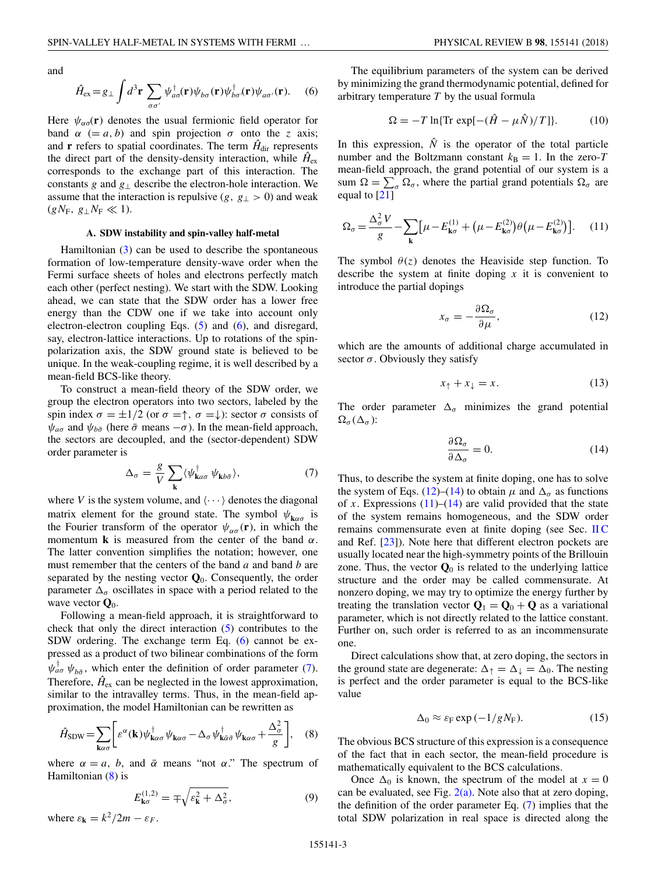<span id="page-2-0"></span>and

$$
\hat{H}_{\rm ex} = g_{\perp} \int d^3 \mathbf{r} \sum_{\sigma \sigma'} \psi_{a\sigma}^{\dagger}(\mathbf{r}) \psi_{b\sigma}(\mathbf{r}) \psi_{b\sigma}^{\dagger}(\mathbf{r}) \psi_{a\sigma'}(\mathbf{r}). \tag{6}
$$

Here  $\psi_{\alpha\sigma}(\mathbf{r})$  denotes the usual fermionic field operator for band  $\alpha$  (= *a*, *b*) and spin projection  $\sigma$  onto the *z* axis; and **r** refers to spatial coordinates. The term  $\hat{H}_{dir}$  represents the direct part of the density-density interaction, while  $\hat{H}_{\text{ex}}$ corresponds to the exchange part of this interaction. The constants *g* and *g*<sup>⊥</sup> describe the electron-hole interaction. We assume that the interaction is repulsive  $(g, g<sub>⊥</sub> > 0)$  and weak  $(gN_F, g_\perp N_F \ll 1).$ 

#### **A. SDW instability and spin-valley half-metal**

Hamiltonian [\(3\)](#page-1-0) can be used to describe the spontaneous formation of low-temperature density-wave order when the Fermi surface sheets of holes and electrons perfectly match each other (perfect nesting). We start with the SDW. Looking ahead, we can state that the SDW order has a lower free energy than the CDW one if we take into account only electron-electron coupling Eqs. [\(5\)](#page-1-0) and (6), and disregard, say, electron-lattice interactions. Up to rotations of the spinpolarization axis, the SDW ground state is believed to be unique. In the weak-coupling regime, it is well described by a mean-field BCS-like theory.

To construct a mean-field theory of the SDW order, we group the electron operators into two sectors, labeled by the spin index  $\sigma = \pm 1/2$  (or  $\sigma = \uparrow$ ,  $\sigma = \downarrow$ ): sector  $\sigma$  consists of  $ψ<sub>aσ</sub>$  and  $ψ<sub>bō</sub>$  (here  $\bar{\sigma}$  means  $-\sigma$ ). In the mean-field approach, the sectors are decoupled, and the (sector-dependent) SDW order parameter is

$$
\Delta_{\sigma} = \frac{g}{V} \sum_{\mathbf{k}} \langle \psi_{\mathbf{k}a\sigma}^{\dagger} \psi_{\mathbf{k}b\bar{\sigma}} \rangle, \tag{7}
$$

where *V* is the system volume, and  $\langle \cdots \rangle$  denotes the diagonal matrix element for the ground state. The symbol  $\psi_{\mathbf{k}\alpha\sigma}$  is the Fourier transform of the operator  $\psi_{\alpha\sigma}(\mathbf{r})$ , in which the momentum **k** is measured from the center of the band *α*. The latter convention simplifies the notation; however, one must remember that the centers of the band *a* and band *b* are separated by the nesting vector **Q**0. Consequently, the order parameter  $\Delta_{\sigma}$  oscillates in space with a period related to the wave vector  $\mathbf{Q}_0$ .

Following a mean-field approach, it is straightforward to check that only the direct interaction [\(5\)](#page-1-0) contributes to the SDW ordering. The exchange term Eq. (6) cannot be expressed as a product of two bilinear combinations of the form  $\psi_{a\sigma}^{\dagger}$   $\psi_{b\bar{\sigma}}$ , which enter the definition of order parameter (7). Therefore,  $\hat{H}_{\rm ex}$  can be neglected in the lowest approximation, similar to the intravalley terms. Thus, in the mean-field approximation, the model Hamiltonian can be rewritten as

$$
\hat{H}_{\text{SDW}} = \sum_{\mathbf{k}\alpha\sigma} \bigg[ \varepsilon^{\alpha}(\mathbf{k}) \psi_{\mathbf{k}\alpha\sigma}^{\dagger} \psi_{\mathbf{k}\alpha\sigma} - \Delta_{\sigma} \psi_{\mathbf{k}\bar{\alpha}\bar{\sigma}}^{\dagger} \psi_{\mathbf{k}\alpha\sigma} + \frac{\Delta_{\sigma}^{2}}{g} \bigg], \quad (8)
$$

where  $\alpha = a$ , *b*, and  $\bar{\alpha}$  means "not  $\alpha$ ." The spectrum of Hamiltonian (8) is

$$
E_{\mathbf{k}\sigma}^{(1,2)} = \mp \sqrt{\varepsilon_{\mathbf{k}}^2 + \Delta_{\sigma}^2},\tag{9}
$$

where  $\varepsilon_{\bf k} = k^2/2m - \varepsilon_F$ .

The equilibrium parameters of the system can be derived by minimizing the grand thermodynamic potential, defined for arbitrary temperature *T* by the usual formula

$$
\Omega = -T \ln{\{\text{Tr} \, \exp[-(\hat{H} - \mu \hat{N})/T]\}}.
$$
 (10)

In this expression,  $\hat{N}$  is the operator of the total particle number and the Boltzmann constant  $k_B = 1$ . In the zero-*T* mean-field approach, the grand potential of our system is a sum  $\Omega = \sum_{\sigma} \Omega_{\sigma}$ , where the partial grand potentials  $\Omega_{\sigma}$  are equal to [\[21\]](#page-12-0)

$$
\Omega_{\sigma} = \frac{\Delta_{\sigma}^2 V}{g} - \sum_{\mathbf{k}} \left[ \mu - E_{\mathbf{k}\sigma}^{(1)} + \left( \mu - E_{\mathbf{k}\sigma}^{(2)} \right) \theta \left( \mu - E_{\mathbf{k}\sigma}^{(2)} \right) \right]. \tag{11}
$$

The symbol  $\theta(z)$  denotes the Heaviside step function. To describe the system at finite doping  $x$  it is convenient to introduce the partial dopings

$$
x_{\sigma} = -\frac{\partial \Omega_{\sigma}}{\partial \mu},\tag{12}
$$

which are the amounts of additional charge accumulated in sector  $\sigma$ . Obviously they satisfy

$$
x_{\uparrow} + x_{\downarrow} = x. \tag{13}
$$

The order parameter  $\Delta_{\sigma}$  minimizes the grand potential  $\Omega_{\sigma}(\Delta_{\sigma})$ :

$$
\frac{\partial \Omega_{\sigma}}{\partial \Delta_{\sigma}} = 0. \tag{14}
$$

Thus, to describe the system at finite doping, one has to solve the system of Eqs. (12)–(14) to obtain  $\mu$  and  $\Delta_{\sigma}$  as functions of *x*. Expressions  $(11)$ – $(14)$  are valid provided that the state of the system remains homogeneous, and the SDW order remains commensurate even at finite doping (see Sec. [II C](#page-7-0) and Ref. [\[23\]](#page-12-0)). Note here that different electron pockets are usually located near the high-symmetry points of the Brillouin zone. Thus, the vector  $\mathbf{Q}_0$  is related to the underlying lattice structure and the order may be called commensurate. At nonzero doping, we may try to optimize the energy further by treating the translation vector  $\mathbf{Q}_1 = \mathbf{Q}_0 + \mathbf{Q}$  as a variational parameter, which is not directly related to the lattice constant. Further on, such order is referred to as an incommensurate one.

Direct calculations show that, at zero doping, the sectors in the ground state are degenerate:  $\Delta_{\uparrow} = \Delta_{\downarrow} = \Delta_0$ . The nesting is perfect and the order parameter is equal to the BCS-like value

$$
\Delta_0 \approx \varepsilon_F \exp\left(-1/gN_F\right). \tag{15}
$$

The obvious BCS structure of this expression is a consequence of the fact that in each sector, the mean-field procedure is mathematically equivalent to the BCS calculations.

Once  $\Delta_0$  is known, the spectrum of the model at  $x = 0$ can be evaluated, see Fig.  $2(a)$ . Note also that at zero doping, the definition of the order parameter Eq. (7) implies that the total SDW polarization in real space is directed along the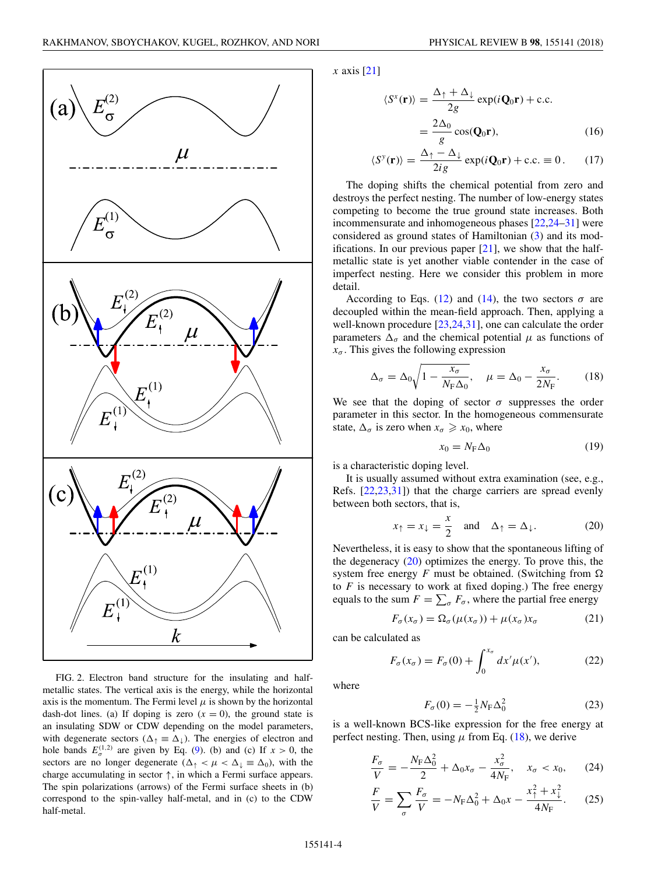<span id="page-3-0"></span>

FIG. 2. Electron band structure for the insulating and halfmetallic states. The vertical axis is the energy, while the horizontal axis is the momentum. The Fermi level  $\mu$  is shown by the horizontal dash-dot lines. (a) If doping is zero  $(x = 0)$ , the ground state is an insulating SDW or CDW depending on the model parameters, with degenerate sectors ( $\Delta_{\uparrow} \equiv \Delta_{\downarrow}$ ). The energies of electron and hole bands  $E_q^{(1,2)}$  are given by Eq. [\(9\)](#page-2-0). (b) and (c) If  $x > 0$ , the sectors are no longer degenerate  $(\Delta_{\uparrow} < \mu < \Delta_{\downarrow} \equiv \Delta_0)$ , with the charge accumulating in sector  $\uparrow$ , in which a Fermi surface appears. The spin polarizations (arrows) of the Fermi surface sheets in (b) correspond to the spin-valley half-metal, and in (c) to the CDW half-metal.

*x* axis [\[21\]](#page-12-0)

$$
\langle S^{x}(\mathbf{r}) \rangle = \frac{\Delta_{\uparrow} + \Delta_{\downarrow}}{2g} \exp(i\mathbf{Q}_{0}\mathbf{r}) + \text{c.c.}
$$

$$
= \frac{2\Delta_{0}}{g} \cos(\mathbf{Q}_{0}\mathbf{r}), \qquad (16)
$$

$$
\langle S^{y}(\mathbf{r})\rangle = \frac{\Delta_{\uparrow} - \Delta_{\downarrow}}{2ig} \exp(i\mathbf{Q}_{0}\mathbf{r}) + \text{c.c.} \equiv 0. \quad (17)
$$

The doping shifts the chemical potential from zero and destroys the perfect nesting. The number of low-energy states competing to become the true ground state increases. Both incommensurate and inhomogeneous phases [\[22,24–31\]](#page-12-0) were considered as ground states of Hamiltonian [\(3\)](#page-1-0) and its modifications. In our previous paper [\[21\]](#page-12-0), we show that the halfmetallic state is yet another viable contender in the case of imperfect nesting. Here we consider this problem in more detail.

According to Eqs. [\(12\)](#page-2-0) and [\(14\)](#page-2-0), the two sectors  $\sigma$  are decoupled within the mean-field approach. Then, applying a well-known procedure [\[23,24,31\]](#page-12-0), one can calculate the order parameters  $\Delta_{\sigma}$  and the chemical potential  $\mu$  as functions of  $x_{\sigma}$ . This gives the following expression

$$
\Delta_{\sigma} = \Delta_0 \sqrt{1 - \frac{x_{\sigma}}{N_{\rm F} \Delta_0}}, \quad \mu = \Delta_0 - \frac{x_{\sigma}}{2N_{\rm F}}.
$$
 (18)

We see that the doping of sector  $\sigma$  suppresses the order parameter in this sector. In the homogeneous commensurate state,  $\Delta_{\sigma}$  is zero when  $x_{\sigma} \geq x_0$ , where

$$
x_0 = N_{\rm F} \Delta_0 \tag{19}
$$

is a characteristic doping level.

It is usually assumed without extra examination (see, e.g., Refs. [\[22,23,31\]](#page-12-0)) that the charge carriers are spread evenly between both sectors, that is,

$$
x_{\uparrow} = x_{\downarrow} = \frac{x}{2}
$$
 and  $\Delta_{\uparrow} = \Delta_{\downarrow}$ . (20)

Nevertheless, it is easy to show that the spontaneous lifting of the degeneracy  $(20)$  optimizes the energy. To prove this, the system free energy  $F$  must be obtained. (Switching from  $\Omega$ ) to  $F$  is necessary to work at fixed doping.) The free energy equals to the sum  $F = \sum_{\sigma} F_{\sigma}$ , where the partial free energy

$$
F_{\sigma}(x_{\sigma}) = \Omega_{\sigma}(\mu(x_{\sigma})) + \mu(x_{\sigma})x_{\sigma}
$$
 (21)

can be calculated as

$$
F_{\sigma}(x_{\sigma}) = F_{\sigma}(0) + \int_0^{x_{\sigma}} dx' \mu(x'), \qquad (22)
$$

where

$$
F_{\sigma}(0) = -\frac{1}{2}N_{\rm F}\Delta_0^2
$$
 (23)

is a well-known BCS-like expression for the free energy at perfect nesting. Then, using  $\mu$  from Eq. (18), we derive

$$
\frac{F_{\sigma}}{V} = -\frac{N_{\rm F}\Delta_0^2}{2} + \Delta_0 x_{\sigma} - \frac{x_{\sigma}^2}{4N_{\rm F}}, \quad x_{\sigma} < x_0,\tag{24}
$$

$$
\frac{F}{V} = \sum_{\sigma} \frac{F_{\sigma}}{V} = -N_{\rm F} \Delta_0^2 + \Delta_0 x - \frac{x_{\rm T}^2 + x_{\rm T}^2}{4N_{\rm F}}.
$$
 (25)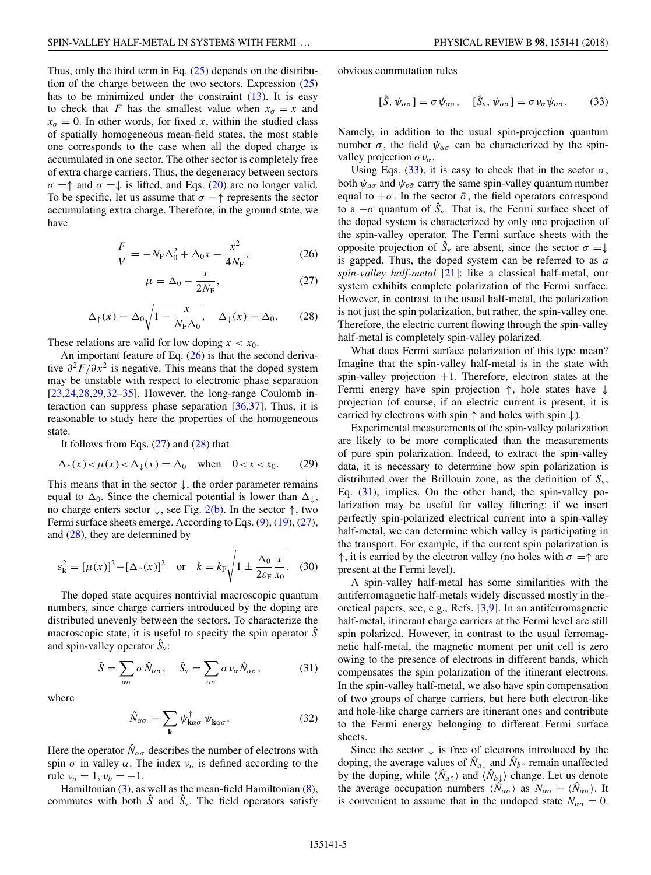<span id="page-4-0"></span>Thus, only the third term in Eq.  $(25)$  depends on the distribution of the charge between the two sectors. Expression  $(25)$ has to be minimized under the constraint  $(13)$ . It is easy to check that *F* has the smallest value when  $x_{\sigma} = x$  and  $x_{\bar{\sigma}} = 0$ . In other words, for fixed *x*, within the studied class of spatially homogeneous mean-field states, the most stable one corresponds to the case when all the doped charge is accumulated in one sector. The other sector is completely free of extra charge carriers. Thus, the degeneracy between sectors  $\sigma = \uparrow$  and  $\sigma = \downarrow$  is lifted, and Eqs. [\(20\)](#page-3-0) are no longer valid. To be specific, let us assume that  $\sigma = \uparrow$  represents the sector accumulating extra charge. Therefore, in the ground state, we have

$$
\frac{F}{V} = -N_{\rm F}\Delta_0^2 + \Delta_0 x - \frac{x^2}{4N_{\rm F}},\tag{26}
$$

$$
\mu = \Delta_0 - \frac{x}{2N_\text{F}},\tag{27}
$$

$$
\Delta_{\uparrow}(x) = \Delta_0 \sqrt{1 - \frac{x}{N_{\rm F} \Delta_0}}, \quad \Delta_{\downarrow}(x) = \Delta_0. \tag{28}
$$

These relations are valid for low doping  $x < x_0$ .

An important feature of Eq.  $(26)$  is that the second derivative *∂*2*F/∂x*<sup>2</sup> is negative. This means that the doped system may be unstable with respect to electronic phase separation [\[23,24,28,29,32–35\]](#page-12-0). However, the long-range Coulomb interaction can suppress phase separation [\[36,37\]](#page-12-0). Thus, it is reasonable to study here the properties of the homogeneous state.

It follows from Eqs.  $(27)$  and  $(28)$  that

$$
\Delta_{\uparrow}(x) < \mu(x) < \Delta_{\downarrow}(x) = \Delta_0 \quad \text{when} \quad 0 < x < x_0. \tag{29}
$$

This means that in the sector  $\downarrow$ , the order parameter remains equal to  $\Delta_0$ . Since the chemical potential is lower than  $\Delta_{\downarrow}$ , no charge enters sector  $\downarrow$ , see Fig. [2\(b\).](#page-3-0) In the sector  $\uparrow$ , two Fermi surface sheets emerge. According to Eqs. [\(9\)](#page-2-0), [\(19\)](#page-3-0), (27), and (28), they are determined by

$$
\varepsilon_{\mathbf{k}}^2 = [\mu(x)]^2 - [\Delta_{\uparrow}(x)]^2
$$
 or  $k = k_{\text{F}} \sqrt{1 \pm \frac{\Delta_0}{2\varepsilon_{\text{F}}} \frac{x}{x_0}}$ . (30)

The doped state acquires nontrivial macroscopic quantum numbers, since charge carriers introduced by the doping are distributed unevenly between the sectors. To characterize the macroscopic state, it is useful to specify the spin operator  $\hat{S}$ and spin-valley operator  $\hat{S}_v$ :

$$
\hat{S} = \sum_{\alpha\sigma} \sigma \hat{N}_{\alpha\sigma}, \quad \hat{S}_v = \sum_{\alpha\sigma} \sigma v_{\alpha} \hat{N}_{\alpha\sigma}, \quad (31)
$$

where

$$
\hat{N}_{\alpha\sigma} = \sum_{\mathbf{k}} \psi_{\mathbf{k}\alpha\sigma}^{\dagger} \psi_{\mathbf{k}\alpha\sigma}.
$$
 (32)

Here the operator  $\hat{N}_{\alpha\sigma}$  describes the number of electrons with spin  $\sigma$  in valley  $\alpha$ . The index  $\nu_{\alpha}$  is defined according to the rule  $v_a = 1$ ,  $v_b = -1$ .

Hamiltonian [\(3\)](#page-1-0), as well as the mean-field Hamiltonian [\(8\)](#page-2-0), commutes with both  $\hat{S}$  and  $\hat{S}_v$ . The field operators satisfy obvious commutation rules

$$
[\hat{S}, \psi_{\alpha\sigma}] = \sigma \psi_{\alpha\sigma}, \quad [\hat{S}_v, \psi_{\alpha\sigma}] = \sigma \nu_{\alpha} \psi_{\alpha\sigma}.
$$
 (33)

Namely, in addition to the usual spin-projection quantum number  $\sigma$ , the field  $\psi_{\alpha\sigma}$  can be characterized by the spinvalley projection  $\sigma v_{\alpha}$ .

Using Eqs.  $(33)$ , it is easy to check that in the sector  $\sigma$ , both  $\psi_{a\sigma}$  and  $\psi_{b\bar{\sigma}}$  carry the same spin-valley quantum number equal to  $+\sigma$ . In the sector  $\bar{\sigma}$ , the field operators correspond to a  $-\sigma$  quantum of  $\hat{S}_v$ . That is, the Fermi surface sheet of the doped system is characterized by only one projection of the spin-valley operator. The Fermi surface sheets with the opposite projection of  $\hat{S}_v$  are absent, since the sector  $\sigma = \downarrow$ is gapped. Thus, the doped system can be referred to as *a spin-valley half-metal* [\[21\]](#page-12-0): like a classical half-metal, our system exhibits complete polarization of the Fermi surface. However, in contrast to the usual half-metal, the polarization is not just the spin polarization, but rather, the spin-valley one. Therefore, the electric current flowing through the spin-valley half-metal is completely spin-valley polarized.

What does Fermi surface polarization of this type mean? Imagine that the spin-valley half-metal is in the state with spin-valley projection  $+1$ . Therefore, electron states at the Fermi energy have spin projection ↑, hole states have ↓ projection (of course, if an electric current is present, it is carried by electrons with spin  $\uparrow$  and holes with spin  $\downarrow$ ).

Experimental measurements of the spin-valley polarization are likely to be more complicated than the measurements of pure spin polarization. Indeed, to extract the spin-valley data, it is necessary to determine how spin polarization is distributed over the Brillouin zone, as the definition of *S*v, Eq.  $(31)$ , implies. On the other hand, the spin-valley polarization may be useful for valley filtering: if we insert perfectly spin-polarized electrical current into a spin-valley half-metal, we can determine which valley is participating in the transport. For example, if the current spin polarization is  $\uparrow$ , it is carried by the electron valley (no holes with  $\sigma = \uparrow$  are present at the Fermi level).

A spin-valley half-metal has some similarities with the antiferromagnetic half-metals widely discussed mostly in theoretical papers, see, e.g., Refs. [\[3,9\]](#page-11-0). In an antiferromagnetic half-metal, itinerant charge carriers at the Fermi level are still spin polarized. However, in contrast to the usual ferromagnetic half-metal, the magnetic moment per unit cell is zero owing to the presence of electrons in different bands, which compensates the spin polarization of the itinerant electrons. In the spin-valley half-metal, we also have spin compensation of two groups of charge carriers, but here both electron-like and hole-like charge carriers are itinerant ones and contribute to the Fermi energy belonging to different Fermi surface sheets.

Since the sector  $\downarrow$  is free of electrons introduced by the doping, the average values of  $\hat{N}_{a\downarrow}$  and  $\hat{N}_{b\uparrow}$  remain unaffected by the doping, while  $\langle \hat{N}_{a\uparrow} \rangle$  and  $\langle \hat{N}_{b\downarrow} \rangle$  change. Let us denote the average occupation numbers  $\langle \hat{N}_{\alpha\sigma} \rangle$  as  $N_{\alpha\sigma} = \langle \hat{N}_{\alpha\sigma} \rangle$ . It is convenient to assume that in the undoped state  $N_{\alpha\sigma} = 0$ .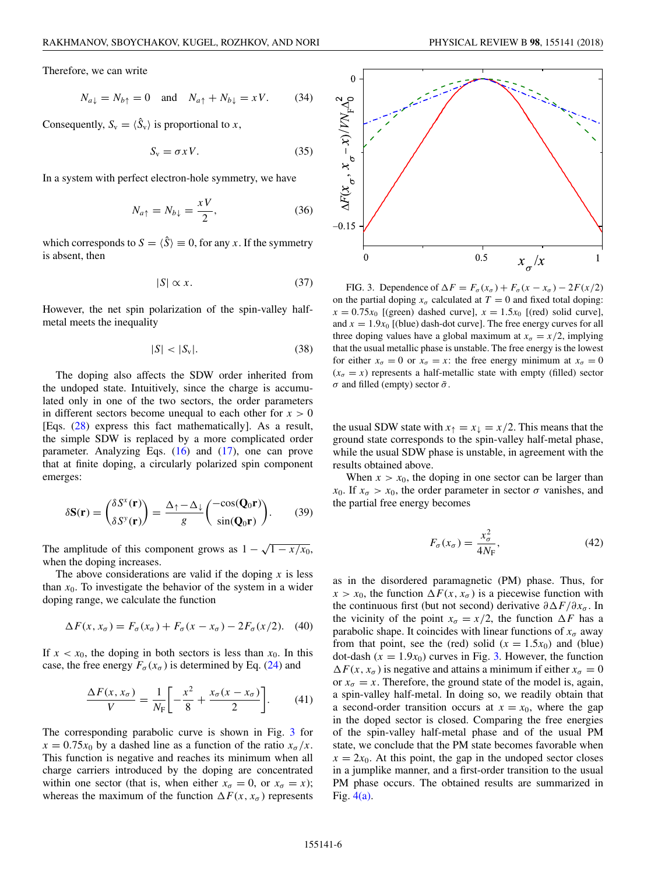<span id="page-5-0"></span>Therefore, we can write

$$
N_{a\downarrow} = N_{b\uparrow} = 0 \quad \text{and} \quad N_{a\uparrow} + N_{b\downarrow} = xV. \tag{34}
$$

Consequently,  $S_v = \langle \hat{S}_v \rangle$  is proportional to *x*,

$$
S_{v} = \sigma x V. \tag{35}
$$

In a system with perfect electron-hole symmetry, we have

$$
N_{a\uparrow} = N_{b\downarrow} = \frac{xV}{2},\tag{36}
$$

which corresponds to  $S = \langle \hat{S} \rangle \equiv 0$ , for any *x*. If the symmetry is absent, then

$$
|S| \propto x. \tag{37}
$$

However, the net spin polarization of the spin-valley halfmetal meets the inequality

$$
|S| < |S_{\rm v}|.\tag{38}
$$

The doping also affects the SDW order inherited from the undoped state. Intuitively, since the charge is accumulated only in one of the two sectors, the order parameters in different sectors become unequal to each other for  $x > 0$ [Eqs. [\(28\)](#page-4-0) express this fact mathematically]. As a result, the simple SDW is replaced by a more complicated order parameter. Analyzing Eqs. [\(16\)](#page-3-0) and [\(17\)](#page-3-0), one can prove that at finite doping, a circularly polarized spin component emerges:

$$
\delta \mathbf{S}(\mathbf{r}) = \begin{pmatrix} \delta S^{x}(\mathbf{r}) \\ \delta S^{y}(\mathbf{r}) \end{pmatrix} = \frac{\Delta_{\uparrow} - \Delta_{\downarrow}}{g} \begin{pmatrix} -\cos(\mathbf{Q}_{0}\mathbf{r}) \\ \sin(\mathbf{Q}_{0}\mathbf{r}) \end{pmatrix}.
$$
 (39)

The amplitude of this component grows as  $1 - \sqrt{1 - x/x_0}$ , when the doping increases.

The above considerations are valid if the doping *x* is less than  $x_0$ . To investigate the behavior of the system in a wider doping range, we calculate the function

$$
\Delta F(x, x_{\sigma}) = F_{\sigma}(x_{\sigma}) + F_{\sigma}(x - x_{\sigma}) - 2F_{\sigma}(x/2). \tag{40}
$$

If  $x < x_0$ , the doping in both sectors is less than  $x_0$ . In this case, the free energy  $F_{\sigma}(x_{\sigma})$  is determined by Eq. [\(24\)](#page-3-0) and

$$
\frac{\Delta F(x, x_{\sigma})}{V} = \frac{1}{N_{\rm F}} \left[ -\frac{x^2}{8} + \frac{x_{\sigma}(x - x_{\sigma})}{2} \right].
$$
 (41)

The corresponding parabolic curve is shown in Fig. 3 for  $x = 0.75x_0$  by a dashed line as a function of the ratio  $x_\sigma/x$ . This function is negative and reaches its minimum when all charge carriers introduced by the doping are concentrated within one sector (that is, when either  $x_{\sigma} = 0$ , or  $x_{\sigma} = x$ ); whereas the maximum of the function  $\Delta F(x, x_{\sigma})$  represents



FIG. 3. Dependence of  $\Delta F = F_{\sigma}(x_{\sigma}) + F_{\sigma}(x - x_{\sigma}) - 2F(x/2)$ on the partial doping  $x_{\sigma}$  calculated at  $T = 0$  and fixed total doping:  $x = 0.75x_0$  [(green) dashed curve],  $x = 1.5x_0$  [(red) solid curve], and  $x = 1.9x_0$  [(blue) dash-dot curve]. The free energy curves for all three doping values have a global maximum at  $x_{\sigma} = x/2$ , implying that the usual metallic phase is unstable. The free energy is the lowest for either  $x_{\sigma} = 0$  or  $x_{\sigma} = x$ : the free energy minimum at  $x_{\sigma} = 0$  $(x_{\sigma} = x)$  represents a half-metallic state with empty (filled) sector *σ* and filled (empty) sector  $\bar{\sigma}$ .

the usual SDW state with  $x_{\uparrow} = x_{\downarrow} = x/2$ . This means that the ground state corresponds to the spin-valley half-metal phase, while the usual SDW phase is unstable, in agreement with the results obtained above.

When  $x > x_0$ , the doping in one sector can be larger than *x*<sub>0</sub>. If  $x_{\sigma} > x_0$ , the order parameter in sector  $\sigma$  vanishes, and the partial free energy becomes

$$
F_{\sigma}(x_{\sigma}) = \frac{x_{\sigma}^2}{4N_{\rm F}},\tag{42}
$$

as in the disordered paramagnetic (PM) phase. Thus, for  $x > x_0$ , the function  $\Delta F(x, x_{\sigma})$  is a piecewise function with the continuous first (but not second) derivative  $\partial \Delta F / \partial x_{\sigma}$ . In the vicinity of the point  $x_{\sigma} = x/2$ , the function  $\Delta F$  has a parabolic shape. It coincides with linear functions of  $x_{\sigma}$  away from that point, see the (red) solid  $(x = 1.5x_0)$  and (blue) dot-dash  $(x = 1.9x_0)$  curves in Fig. 3. However, the function  $\Delta F(x, x_{\sigma})$  is negative and attains a minimum if either  $x_{\sigma} = 0$ or  $x_{\sigma} = x$ . Therefore, the ground state of the model is, again, a spin-valley half-metal. In doing so, we readily obtain that a second-order transition occurs at  $x = x_0$ , where the gap in the doped sector is closed. Comparing the free energies of the spin-valley half-metal phase and of the usual PM state, we conclude that the PM state becomes favorable when  $x = 2x_0$ . At this point, the gap in the undoped sector closes in a jumplike manner, and a first-order transition to the usual PM phase occurs. The obtained results are summarized in Fig. [4\(a\).](#page-6-0)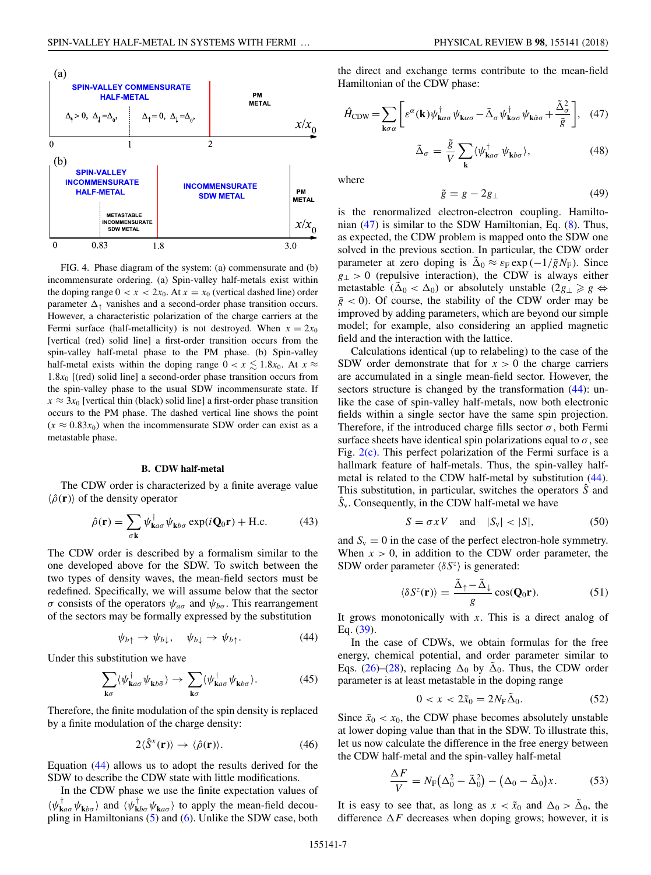<span id="page-6-0"></span>

FIG. 4. Phase diagram of the system: (a) commensurate and (b) incommensurate ordering. (a) Spin-valley half-metals exist within the doping range  $0 < x < 2x_0$ . At  $x = x_0$  (vertical dashed line) order parameter  $\Delta_{\uparrow}$  vanishes and a second-order phase transition occurs. However, a characteristic polarization of the charge carriers at the Fermi surface (half-metallicity) is not destroyed. When  $x = 2x_0$ [vertical (red) solid line] a first-order transition occurs from the spin-valley half-metal phase to the PM phase. (b) Spin-valley half-metal exists within the doping range  $0 < x \lesssim 1.8x_0$ . At  $x \approx$  $1.8x_0$  [(red) solid line] a second-order phase transition occurs from the spin-valley phase to the usual SDW incommensurate state. If  $x \approx 3x_0$  [vertical thin (black) solid line] a first-order phase transition occurs to the PM phase. The dashed vertical line shows the point  $(x \approx 0.83x_0)$  when the incommensurate SDW order can exist as a metastable phase.

#### **B. CDW half-metal**

The CDW order is characterized by a finite average value  $\langle \hat{\rho}({\bf r}) \rangle$  of the density operator

$$
\hat{\rho}(\mathbf{r}) = \sum_{\sigma \mathbf{k}} \psi_{\mathbf{k} a \sigma}^{\dagger} \psi_{\mathbf{k} b \sigma} \exp(i\mathbf{Q}_0 \mathbf{r}) + \text{H.c.}
$$
 (43)

The CDW order is described by a formalism similar to the one developed above for the SDW. To switch between the two types of density waves, the mean-field sectors must be redefined. Specifically, we will assume below that the sector *σ* consists of the operators  $ψ_{aσ}$  and  $ψ_{bσ}$ . This rearrangement of the sectors may be formally expressed by the substitution

$$
\psi_{b\uparrow} \to \psi_{b\downarrow}, \quad \psi_{b\downarrow} \to \psi_{b\uparrow}.
$$
 (44)

Under this substitution we have

$$
\sum_{\mathbf{k}\sigma} \langle \psi_{\mathbf{k}a\sigma}^{\dagger} \psi_{\mathbf{k}b\bar{\sigma}} \rangle \to \sum_{\mathbf{k}\sigma} \langle \psi_{\mathbf{k}a\sigma}^{\dagger} \psi_{\mathbf{k}b\sigma} \rangle.
$$
 (45)

Therefore, the finite modulation of the spin density is replaced by a finite modulation of the charge density:

$$
2\langle \hat{S}^x(\mathbf{r}) \rangle \to \langle \hat{\rho}(\mathbf{r}) \rangle. \tag{46}
$$

Equation (44) allows us to adopt the results derived for the SDW to describe the CDW state with little modifications.

In the CDW phase we use the finite expectation values of  $\langle \psi_{\mathbf{k}a\sigma}^{\dagger} \psi_{\mathbf{k}b\sigma} \rangle$  and  $\langle \psi_{\mathbf{k}b\sigma}^{\dagger} \psi_{\mathbf{k}a\sigma} \rangle$  to apply the mean-field decoupling in Hamiltonians [\(5\)](#page-1-0) and [\(6\)](#page-2-0). Unlike the SDW case, both the direct and exchange terms contribute to the mean-field Hamiltonian of the CDW phase:

$$
\hat{H}_{\rm CDW} = \sum_{\mathbf{k}\sigma\alpha} \left[ \varepsilon^{\alpha}(\mathbf{k}) \psi_{\mathbf{k}\alpha\sigma}^{\dagger} \psi_{\mathbf{k}\alpha\sigma} - \tilde{\Delta}_{\sigma} \psi_{\mathbf{k}\alpha\sigma}^{\dagger} \psi_{\mathbf{k}\bar{\alpha}\sigma} + \frac{\tilde{\Delta}_{\sigma}^{2}}{\tilde{g}} \right], \quad (47)
$$

$$
\tilde{\Delta}_{\sigma} = \frac{\tilde{g}}{V} \sum_{\mathbf{k}} \langle \psi_{\mathbf{k}a\sigma}^{\dagger} \psi_{\mathbf{k}b\sigma} \rangle, \tag{48}
$$

where

$$
\tilde{g} = g - 2g_{\perp} \tag{49}
$$

is the renormalized electron-electron coupling. Hamiltonian  $(47)$  is similar to the SDW Hamiltonian, Eq.  $(8)$ . Thus, as expected, the CDW problem is mapped onto the SDW one solved in the previous section. In particular, the CDW order parameter at zero doping is  $\tilde{\Delta}_0 \approx \varepsilon_F \exp(-1/\tilde{g}N_F)$ . Since  $g_{\perp}$  > 0 (repulsive interaction), the CDW is always either metastable  $(\tilde{\Delta}_0 < \Delta_0)$  or absolutely unstable  $(2g_\perp \geq g \Leftrightarrow$  $\tilde{g}$  < 0). Of course, the stability of the CDW order may be improved by adding parameters, which are beyond our simple model; for example, also considering an applied magnetic field and the interaction with the lattice.

Calculations identical (up to relabeling) to the case of the SDW order demonstrate that for  $x > 0$  the charge carriers are accumulated in a single mean-field sector. However, the sectors structure is changed by the transformation  $(44)$ : unlike the case of spin-valley half-metals, now both electronic fields within a single sector have the same spin projection. Therefore, if the introduced charge fills sector  $\sigma$ , both Fermi surface sheets have identical spin polarizations equal to  $\sigma$ , see Fig.  $2(c)$ . This perfect polarization of the Fermi surface is a hallmark feature of half-metals. Thus, the spin-valley halfmetal is related to the CDW half-metal by substitution (44). This substitution, in particular, switches the operators *S*ˆ and  $\hat{S}_v$ . Consequently, in the CDW half-metal we have

$$
S = \sigma x V \quad \text{and} \quad |S_{\rm v}| < |S|,\tag{50}
$$

and  $S_v = 0$  in the case of the perfect electron-hole symmetry. When  $x > 0$ , in addition to the CDW order parameter, the SDW order parameter  $\langle \delta S^z \rangle$  is generated:

$$
\langle \delta S^z(\mathbf{r}) \rangle = \frac{\tilde{\Delta}_{\uparrow} - \tilde{\Delta}_{\downarrow}}{g} \cos(\mathbf{Q}_0 \mathbf{r}). \tag{51}
$$

It grows monotonically with *x*. This is a direct analog of Eq. [\(39\)](#page-5-0).

In the case of CDWs, we obtain formulas for the free energy, chemical potential, and order parameter similar to Eqs. [\(26\)](#page-4-0)–[\(28\)](#page-4-0), replacing  $\Delta_0$  by  $\tilde{\Delta}_0$ . Thus, the CDW order parameter is at least metastable in the doping range

$$
0 < x < 2\tilde{x}_0 = 2N_{\rm F}\tilde{\Delta}_0. \tag{52}
$$

Since  $\tilde{x}_0 < x_0$ , the CDW phase becomes absolutely unstable at lower doping value than that in the SDW. To illustrate this, let us now calculate the difference in the free energy between the CDW half-metal and the spin-valley half-metal

$$
\frac{\Delta F}{V} = N_{\rm F} (\Delta_0^2 - \tilde{\Delta}_0^2) - (\Delta_0 - \tilde{\Delta}_0) x.
$$
 (53)

It is easy to see that, as long as  $x < \tilde{x}_0$  and  $\Delta_0 > \tilde{\Delta}_0$ , the difference  $\Delta F$  decreases when doping grows; however, it is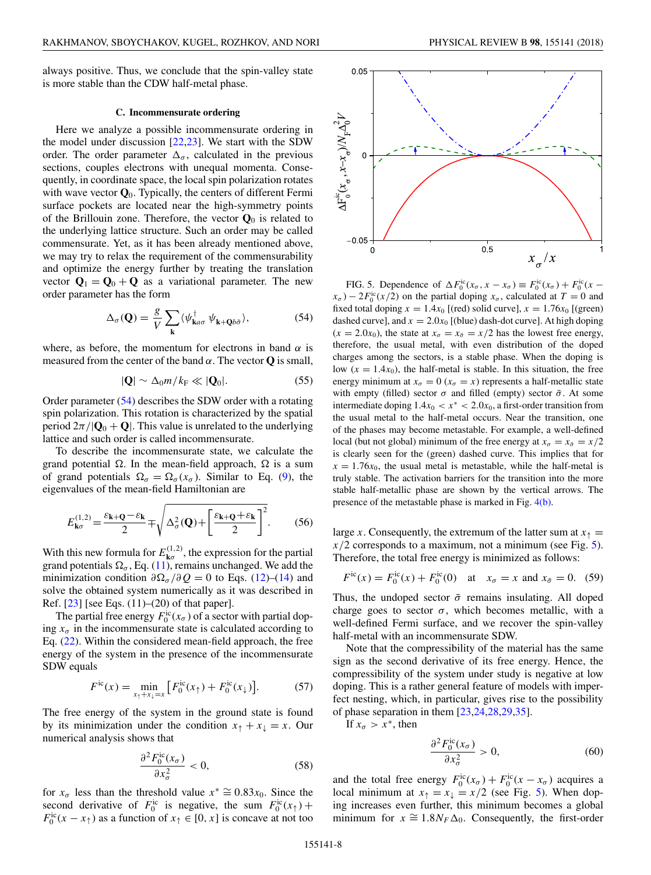<span id="page-7-0"></span>always positive. Thus, we conclude that the spin-valley state is more stable than the CDW half-metal phase.

#### **C. Incommensurate ordering**

Here we analyze a possible incommensurate ordering in the model under discussion [\[22,23\]](#page-12-0). We start with the SDW order. The order parameter  $\Delta_{\sigma}$ , calculated in the previous sections, couples electrons with unequal momenta. Consequently, in coordinate space, the local spin polarization rotates with wave vector **Q**0. Typically, the centers of different Fermi surface pockets are located near the high-symmetry points of the Brillouin zone. Therefore, the vector  $\mathbf{Q}_0$  is related to the underlying lattice structure. Such an order may be called commensurate. Yet, as it has been already mentioned above, we may try to relax the requirement of the commensurability and optimize the energy further by treating the translation vector  $\mathbf{Q}_1 = \mathbf{Q}_0 + \mathbf{Q}$  as a variational parameter. The new order parameter has the form

$$
\Delta_{\sigma}(\mathbf{Q}) = \frac{g}{V} \sum_{\mathbf{k}} \langle \psi_{\mathbf{k}a\sigma}^{\dagger} \psi_{\mathbf{k} + \mathbf{Q}b\bar{\sigma}} \rangle, \tag{54}
$$

where, as before, the momentum for electrons in band  $\alpha$  is measured from the center of the band  $\alpha$ . The vector **Q** is small,

$$
|\mathbf{Q}| \sim \Delta_0 m / k_\text{F} \ll |\mathbf{Q}_0|. \tag{55}
$$

Order parameter (54) describes the SDW order with a rotating spin polarization. This rotation is characterized by the spatial period  $2\pi/|\mathbf{Q}_0 + \mathbf{Q}|$ . This value is unrelated to the underlying lattice and such order is called incommensurate.

To describe the incommensurate state, we calculate the grand potential  $\Omega$ . In the mean-field approach,  $\Omega$  is a sum of grand potentials  $\Omega_{\sigma} = \Omega_{\sigma}(x_{\sigma})$ . Similar to Eq. [\(9\)](#page-2-0), the eigenvalues of the mean-field Hamiltonian are

$$
E_{\mathbf{k}\sigma}^{(1,2)} = \frac{\varepsilon_{\mathbf{k}+\mathbf{Q}} - \varepsilon_{\mathbf{k}}}{2} \mp \sqrt{\Delta_{\sigma}^{2}(\mathbf{Q}) + \left[\frac{\varepsilon_{\mathbf{k}+\mathbf{Q}} + \varepsilon_{\mathbf{k}}}{2}\right]^{2}}.
$$
 (56)

With this new formula for  $E_{\mathbf{k}\sigma}^{(1,2)}$ , the expression for the partial grand potentials  $\Omega_{\sigma}$ , Eq. [\(11\)](#page-2-0), remains unchanged. We add the minimization condition  $\partial \Omega_{\sigma}/\partial Q = 0$  to Eqs. [\(12\)](#page-2-0)–[\(14\)](#page-2-0) and solve the obtained system numerically as it was described in Ref. [\[23\]](#page-12-0) [see Eqs. (11)–(20) of that paper].

The partial free energy  $F_0^{\text{ic}}(x_\sigma)$  of a sector with partial doping  $x_{\sigma}$  in the incommensurate state is calculated according to Eq. [\(22\)](#page-3-0). Within the considered mean-field approach, the free energy of the system in the presence of the incommensurate SDW equals

$$
F^{\text{ic}}(x) = \min_{x_\uparrow + x_\downarrow = x} \left[ F_0^{\text{ic}}(x_\uparrow) + F_0^{\text{ic}}(x_\downarrow) \right]. \tag{57}
$$

The free energy of the system in the ground state is found by its minimization under the condition  $x_{\uparrow} + x_{\downarrow} = x$ . Our numerical analysis shows that

$$
\frac{\partial^2 F_0^{\text{ic}}(x_\sigma)}{\partial x_\sigma^2} < 0,\tag{58}
$$

for  $x_{\sigma}$  less than the threshold value  $x^* \cong 0.83x_0$ . Since the second derivative of  $F_0^{\text{ic}}$  is negative, the sum  $F_0^{\text{ic}}(x)$  +  $F_0^{\text{ic}}(x - x)$  as a function of  $x \uparrow \in [0, x]$  is concave at not too



FIG. 5. Dependence of  $\Delta F_0^{\text{ic}}(x_{\sigma}, x - x_{\sigma}) \equiv F_0^{\text{ic}}(x_{\sigma}) + F_0^{\text{ic}}(x$  $f(x_{\sigma}) - 2F_0^{\text{ic}}(x/2)$  on the partial doping  $x_{\sigma}$ , calculated at  $T = 0$  and fixed total doping  $x = 1.4x_0$  [(red) solid curve],  $x = 1.76x_0$  [(green) dashed curve], and  $x = 2.0x_0$  [(blue) dash-dot curve]. At high doping  $(x = 2.0x_0)$ , the state at  $x_\sigma = x_{\bar{\sigma}} = x/2$  has the lowest free energy, therefore, the usual metal, with even distribution of the doped charges among the sectors, is a stable phase. When the doping is low  $(x = 1.4x_0)$ , the half-metal is stable. In this situation, the free energy minimum at  $x_{\sigma} = 0$  ( $x_{\sigma} = x$ ) represents a half-metallic state with empty (filled) sector  $\sigma$  and filled (empty) sector  $\bar{\sigma}$ . At some intermediate doping  $1.4x_0 < x^* < 2.0x_0$ , a first-order transition from the usual metal to the half-metal occurs. Near the transition, one of the phases may become metastable. For example, a well-defined local (but not global) minimum of the free energy at  $x_{\sigma} = x_{\bar{\sigma}} = x/2$ is clearly seen for the (green) dashed curve. This implies that for  $x = 1.76x_0$ , the usual metal is metastable, while the half-metal is truly stable. The activation barriers for the transition into the more stable half-metallic phase are shown by the vertical arrows. The presence of the metastable phase is marked in Fig. [4\(b\).](#page-6-0)

large *x*. Consequently, the extremum of the latter sum at  $x<sub>†</sub>$  =  $x/2$  corresponds to a maximum, not a minimum (see Fig. 5). Therefore, the total free energy is minimized as follows:

$$
F^{\text{ic}}(x) = F_0^{\text{ic}}(x) + F_0^{\text{ic}}(0)
$$
 at  $x_{\sigma} = x$  and  $x_{\bar{\sigma}} = 0$ . (59)

Thus, the undoped sector  $\bar{\sigma}$  remains insulating. All doped charge goes to sector  $\sigma$ , which becomes metallic, with a well-defined Fermi surface, and we recover the spin-valley half-metal with an incommensurate SDW.

Note that the compressibility of the material has the same sign as the second derivative of its free energy. Hence, the compressibility of the system under study is negative at low doping. This is a rather general feature of models with imperfect nesting, which, in particular, gives rise to the possibility of phase separation in them [\[23,24,28,29,35\]](#page-12-0).

If  $x_{\sigma} > x^*$ , then

$$
\frac{\partial^2 F_0^{\text{ic}}(x_\sigma)}{\partial x_\sigma^2} > 0,\tag{60}
$$

and the total free energy  $F_0^{\text{ic}}(x_\sigma) + F_0^{\text{ic}}(x - x_\sigma)$  acquires a local minimum at  $x_{\uparrow} = x_{\downarrow} = x/2$  (see Fig. 5). When doping increases even further, this minimum becomes a global minimum for  $x \approx 1.8N_F\Delta_0$ . Consequently, the first-order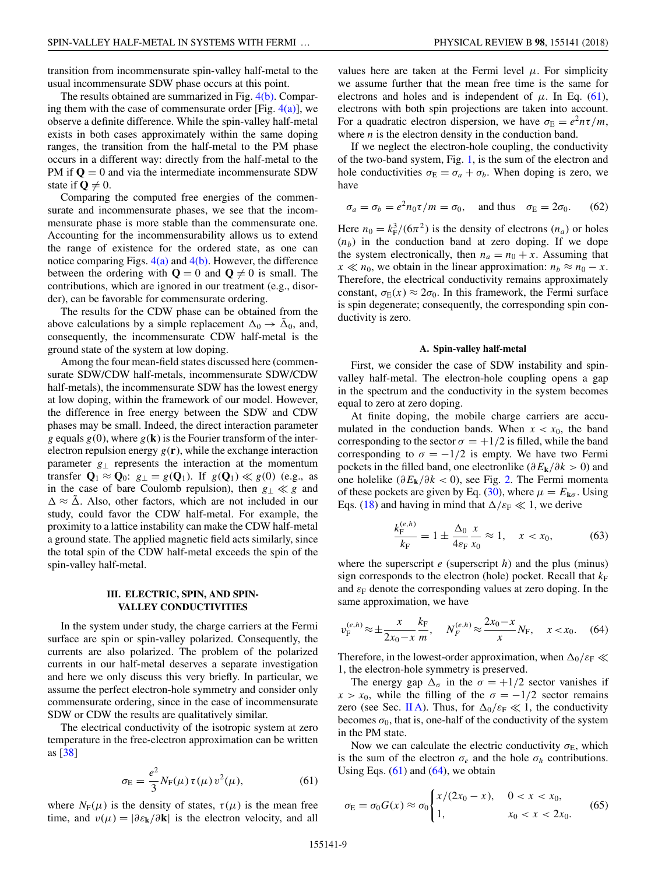<span id="page-8-0"></span>transition from incommensurate spin-valley half-metal to the usual incommensurate SDW phase occurs at this point.

The results obtained are summarized in Fig. [4\(b\).](#page-6-0) Comparing them with the case of commensurate order [Fig.  $4(a)$ ], we observe a definite difference. While the spin-valley half-metal exists in both cases approximately within the same doping ranges, the transition from the half-metal to the PM phase occurs in a different way: directly from the half-metal to the PM if  $Q = 0$  and via the intermediate incommensurate SDW state if  $\mathbf{Q} \neq 0$ .

Comparing the computed free energies of the commensurate and incommensurate phases, we see that the incommensurate phase is more stable than the commensurate one. Accounting for the incommensurability allows us to extend the range of existence for the ordered state, as one can notice comparing Figs.  $4(a)$  and  $4(b)$ . However, the difference between the ordering with  $Q = 0$  and  $Q \neq 0$  is small. The contributions, which are ignored in our treatment (e.g., disorder), can be favorable for commensurate ordering.

The results for the CDW phase can be obtained from the above calculations by a simple replacement  $\Delta_0 \rightarrow \tilde{\Delta}_0$ , and, consequently, the incommensurate CDW half-metal is the ground state of the system at low doping.

Among the four mean-field states discussed here (commensurate SDW/CDW half-metals, incommensurate SDW/CDW half-metals), the incommensurate SDW has the lowest energy at low doping, within the framework of our model. However, the difference in free energy between the SDW and CDW phases may be small. Indeed, the direct interaction parameter *g* equals  $g(0)$ , where  $g(\mathbf{k})$  is the Fourier transform of the interelectron repulsion energy  $g(\mathbf{r})$ , while the exchange interaction parameter *g*<sup>⊥</sup> represents the interaction at the momentum transfer  $\mathbf{Q}_1 \approx \mathbf{Q}_0$ :  $g_{\perp} = g(\mathbf{Q}_1)$ . If  $g(\mathbf{Q}_1) \ll g(0)$  (e.g., as in the case of bare Coulomb repulsion), then  $g_{\perp} \ll g$  and  $\Delta \approx \tilde{\Delta}$ . Also, other factors, which are not included in our study, could favor the CDW half-metal. For example, the proximity to a lattice instability can make the CDW half-metal a ground state. The applied magnetic field acts similarly, since the total spin of the CDW half-metal exceeds the spin of the spin-valley half-metal.

#### **III. ELECTRIC, SPIN, AND SPIN-VALLEY CONDUCTIVITIES**

In the system under study, the charge carriers at the Fermi surface are spin or spin-valley polarized. Consequently, the currents are also polarized. The problem of the polarized currents in our half-metal deserves a separate investigation and here we only discuss this very briefly. In particular, we assume the perfect electron-hole symmetry and consider only commensurate ordering, since in the case of incommensurate SDW or CDW the results are qualitatively similar.

The electrical conductivity of the isotropic system at zero temperature in the free-electron approximation can be written as [\[38\]](#page-12-0)

$$
\sigma_{\rm E} = \frac{e^2}{3} N_{\rm F}(\mu) \,\tau(\mu) \, v^2(\mu),\tag{61}
$$

where  $N_F(\mu)$  is the density of states,  $\tau(\mu)$  is the mean free time, and  $v(\mu) = |\partial \varepsilon_{\mathbf{k}}/\partial \mathbf{k}|$  is the electron velocity, and all values here are taken at the Fermi level  $\mu$ . For simplicity we assume further that the mean free time is the same for electrons and holes and is independent of  $\mu$ . In Eq. (61), electrons with both spin projections are taken into account. For a quadratic electron dispersion, we have  $\sigma_{\rm E} = e^2 n \tau / m$ , where *n* is the electron density in the conduction band.

If we neglect the electron-hole coupling, the conductivity of the two-band system, Fig. [1,](#page-1-0) is the sum of the electron and hole conductivities  $\sigma_{\rm E} = \sigma_a + \sigma_b$ . When doping is zero, we have

$$
\sigma_a = \sigma_b = e^2 n_0 \tau / m = \sigma_0, \quad \text{and thus} \quad \sigma_E = 2\sigma_0. \tag{62}
$$

Here  $n_0 = k_F^3/(6\pi^2)$  is the density of electrons  $(n_a)$  or holes  $(n_b)$  in the conduction band at zero doping. If we dope the system electronically, then  $n_a = n_0 + x$ . Assuming that  $x \ll n_0$ , we obtain in the linear approximation:  $n_b \approx n_0 - x$ . Therefore, the electrical conductivity remains approximately constant,  $\sigma_{E}(x) \approx 2\sigma_0$ . In this framework, the Fermi surface is spin degenerate; consequently, the corresponding spin conductivity is zero.

#### **A. Spin-valley half-metal**

First, we consider the case of SDW instability and spinvalley half-metal. The electron-hole coupling opens a gap in the spectrum and the conductivity in the system becomes equal to zero at zero doping.

At finite doping, the mobile charge carriers are accumulated in the conduction bands. When  $x < x_0$ , the band corresponding to the sector  $\sigma = +1/2$  is filled, while the band corresponding to  $\sigma = -1/2$  is empty. We have two Fermi pockets in the filled band, one electronlike (*∂E***k***/∂k >* 0) and one holelike (*∂E***k***/∂k <* 0), see Fig. [2.](#page-3-0) The Fermi momenta of these pockets are given by Eq. [\(30\)](#page-4-0), where  $\mu = E_{\mathbf{k}\sigma}$ . Using Eqs. [\(18\)](#page-3-0) and having in mind that  $\Delta/\varepsilon_F \ll 1$ , we derive

$$
\frac{k_{\rm F}^{(e,h)}}{k_{\rm F}} = 1 \pm \frac{\Delta_0}{4\varepsilon_{\rm F}} \frac{x}{x_0} \approx 1, \quad x < x_0,\tag{63}
$$

where the superscript *e* (superscript *h*) and the plus (minus) sign corresponds to the electron (hole) pocket. Recall that  $k_F$ and  $\varepsilon_F$  denote the corresponding values at zero doping. In the same approximation, we have

$$
v_{\rm F}^{(e,h)} \approx \pm \frac{x}{2x_0 - x} \frac{k_{\rm F}}{m}, \quad N_F^{(e,h)} \approx \frac{2x_0 - x}{x} N_{\rm F}, \quad x < x_0. \tag{64}
$$

Therefore, in the lowest-order approximation, when  $\Delta_0/\varepsilon_F \ll$ 1, the electron-hole symmetry is preserved.

The energy gap  $\Delta_{\sigma}$  in the  $\sigma = +1/2$  sector vanishes if  $x > x_0$ , while the filling of the  $\sigma = -1/2$  sector remains zero (see Sec. [II A\)](#page-2-0). Thus, for  $\Delta_0/\varepsilon_F \ll 1$ , the conductivity becomes  $\sigma_0$ , that is, one-half of the conductivity of the system in the PM state.

Now we can calculate the electric conductivity  $\sigma_{\rm E}$ , which is the sum of the electron  $\sigma_e$  and the hole  $\sigma_h$  contributions. Using Eqs.  $(61)$  and  $(64)$ , we obtain

$$
\sigma_{\rm E} = \sigma_0 G(x) \approx \sigma_0 \begin{cases} x/(2x_0 - x), & 0 < x < x_0, \\ 1, & x_0 < x < 2x_0. \end{cases} \tag{65}
$$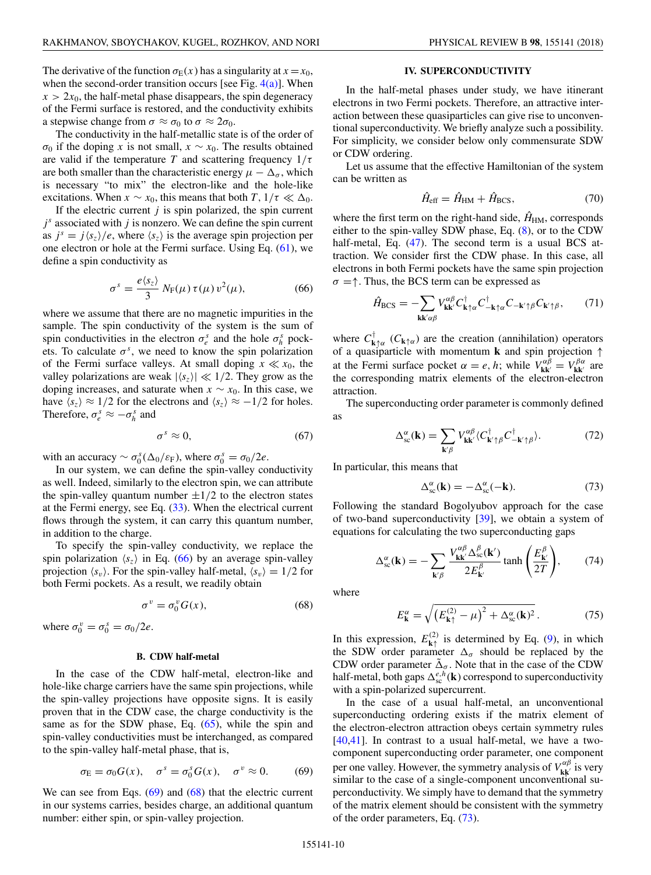<span id="page-9-0"></span>a stepwise change from  $\sigma \approx \sigma_0$  to  $\sigma \approx 2\sigma_0$ . The conductivity in the half-metallic state is of the order of *σ*<sub>0</sub> if the doping *x* is not small,  $x \sim x_0$ . The results obtained are valid if the temperature *T* and scattering frequency  $1/\tau$ are both smaller than the characteristic energy  $\mu - \Delta_{\sigma}$ , which is necessary "to mix" the electron-like and the hole-like excitations. When  $x \sim x_0$ , this means that both  $T$ ,  $1/\tau \ll \Delta_0$ .

If the electric current  $j$  is spin polarized, the spin current  $j<sup>s</sup>$  associated with  $j$  is nonzero. We can define the spin current as  $j^s = j \langle s_z \rangle / e$ , where  $\langle s_z \rangle$  is the average spin projection per one electron or hole at the Fermi surface. Using Eq. [\(61\)](#page-8-0), we define a spin conductivity as

$$
\sigma^s = \frac{e \langle s_z \rangle}{3} N_{\rm F}(\mu) \tau(\mu) v^2(\mu), \tag{66}
$$

where we assume that there are no magnetic impurities in the sample. The spin conductivity of the system is the sum of spin conductivities in the electron  $\sigma_e^s$  and the hole  $\sigma_h^s$  pockets. To calculate  $\sigma^s$ , we need to know the spin polarization of the Fermi surface valleys. At small doping  $x \ll x_0$ , the valley polarizations are weak  $|\langle s_z \rangle| \ll 1/2$ . They grow as the doping increases, and saturate when  $x \sim x_0$ . In this case, we have  $\langle s_z \rangle \approx 1/2$  for the electrons and  $\langle s_z \rangle \approx -1/2$  for holes. Therefore,  $\sigma_e^s \approx -\sigma_h^s$  and

$$
\sigma^s \approx 0,\tag{67}
$$

with an accuracy  $\sim \sigma_0^s(\Delta_0/\varepsilon_F)$ , where  $\sigma_0^s = \sigma_0/2e$ .

In our system, we can define the spin-valley conductivity as well. Indeed, similarly to the electron spin, we can attribute the spin-valley quantum number  $\pm 1/2$  to the electron states at the Fermi energy, see Eq.  $(33)$ . When the electrical current flows through the system, it can carry this quantum number, in addition to the charge.

To specify the spin-valley conductivity, we replace the spin polarization  $\langle s_z \rangle$  in Eq. (66) by an average spin-valley projection  $\langle s_v \rangle$ . For the spin-valley half-metal,  $\langle s_v \rangle = 1/2$  for both Fermi pockets. As a result, we readily obtain

$$
\sigma^v = \sigma_0^v G(x),\tag{68}
$$

where  $\sigma_0^v = \sigma_0^s = \sigma_0/2e$ .

### **B. CDW half-metal**

In the case of the CDW half-metal, electron-like and hole-like charge carriers have the same spin projections, while the spin-valley projections have opposite signs. It is easily proven that in the CDW case, the charge conductivity is the same as for the SDW phase, Eq. [\(65\)](#page-8-0), while the spin and spin-valley conductivities must be interchanged, as compared to the spin-valley half-metal phase, that is,

$$
\sigma_{\rm E} = \sigma_0 G(x), \quad \sigma^s = \sigma_0^s G(x), \quad \sigma^v \approx 0. \tag{69}
$$

We can see from Eqs.  $(69)$  and  $(68)$  that the electric current in our systems carries, besides charge, an additional quantum number: either spin, or spin-valley projection.

### **IV. SUPERCONDUCTIVITY**

In the half-metal phases under study, we have itinerant electrons in two Fermi pockets. Therefore, an attractive interaction between these quasiparticles can give rise to unconventional superconductivity. We briefly analyze such a possibility. For simplicity, we consider below only commensurate SDW or CDW ordering.

Let us assume that the effective Hamiltonian of the system can be written as

$$
\hat{H}_{\rm eff} = \hat{H}_{\rm HM} + \hat{H}_{\rm BCS},\tag{70}
$$

where the first term on the right-hand side,  $\hat{H}_{HM}$ , corresponds either to the spin-valley SDW phase, Eq. [\(8\)](#page-2-0), or to the CDW half-metal, Eq. [\(47\)](#page-6-0). The second term is a usual BCS attraction. We consider first the CDW phase. In this case, all electrons in both Fermi pockets have the same spin projection  $\sigma = \uparrow$ . Thus, the BCS term can be expressed as

$$
\hat{H}_{\rm BCS} = -\sum_{\mathbf{k}\mathbf{k}'\alpha\beta} V^{\alpha\beta}_{\mathbf{k}\mathbf{k}'} C^{\dagger}_{\mathbf{k}\uparrow\alpha} C^{\dagger}_{-\mathbf{k}\uparrow\alpha} C_{-\mathbf{k}'\uparrow\beta} C_{\mathbf{k}'\uparrow\beta},\tag{71}
$$

where  $C_{\mathbf{k}\uparrow\alpha}^{\dagger}$  ( $C_{\mathbf{k}\uparrow\alpha}$ ) are the creation (annihilation) operators of a quasiparticle with momentum **k** and spin projection ↑ at the Fermi surface pocket  $\alpha = e, h$ ; while  $V_{kk'}^{\alpha\beta} = V_{kk'}^{\beta\alpha}$  are the corresponding matrix elements of the electron-electron attraction.

The superconducting order parameter is commonly defined as

$$
\Delta_{\rm sc}^{\alpha}(\mathbf{k}) = \sum_{\mathbf{k}'\beta} V_{\mathbf{k}\mathbf{k}'}^{\alpha\beta} \langle C_{\mathbf{k}'\uparrow\beta}^{\dagger} C_{-\mathbf{k}'\uparrow\beta}^{\dagger} \rangle. \tag{72}
$$

In particular, this means that

$$
\Delta_{\rm sc}^{\alpha}(\mathbf{k}) = -\Delta_{\rm sc}^{\alpha}(-\mathbf{k}).\tag{73}
$$

Following the standard Bogolyubov approach for the case of two-band superconductivity [\[39\]](#page-12-0), we obtain a system of equations for calculating the two superconducting gaps

$$
\Delta_{\rm sc}^{\alpha}(\mathbf{k}) = -\sum_{\mathbf{k}'\beta} \frac{V_{\mathbf{k}\mathbf{k}'}^{\alpha\beta} \Delta_{\rm sc}^{\beta}(\mathbf{k}')}{2E_{\mathbf{k}'}^{\beta}} \tanh\left(\frac{E_{\mathbf{k}'}^{\beta}}{2T}\right),\tag{74}
$$

where

$$
E_{\mathbf{k}}^{\alpha} = \sqrt{\left(E_{\mathbf{k}\uparrow}^{(2)} - \mu\right)^2 + \Delta_{\rm sc}^{\alpha}(\mathbf{k})^2} \,. \tag{75}
$$

In this expression,  $E_{\mathbf{k}\uparrow}^{(2)}$  is determined by Eq. [\(9\)](#page-2-0), in which the SDW order parameter  $\Delta_{\sigma}$  should be replaced by the CDW order parameter  $\tilde{\Delta}_{\sigma}$ . Note that in the case of the CDW half-metal, both gaps  $\Delta_{\rm sc}^{e,h}(\mathbf{k})$  correspond to superconductivity with a spin-polarized supercurrent.

In the case of a usual half-metal, an unconventional superconducting ordering exists if the matrix element of the electron-electron attraction obeys certain symmetry rules [\[40,41\]](#page-12-0). In contrast to a usual half-metal, we have a twocomponent superconducting order parameter, one component per one valley. However, the symmetry analysis of  $V^{\alpha\beta}_{\bf kk'}$  is very similar to the case of a single-component unconventional superconductivity. We simply have to demand that the symmetry of the matrix element should be consistent with the symmetry of the order parameters, Eq. (73).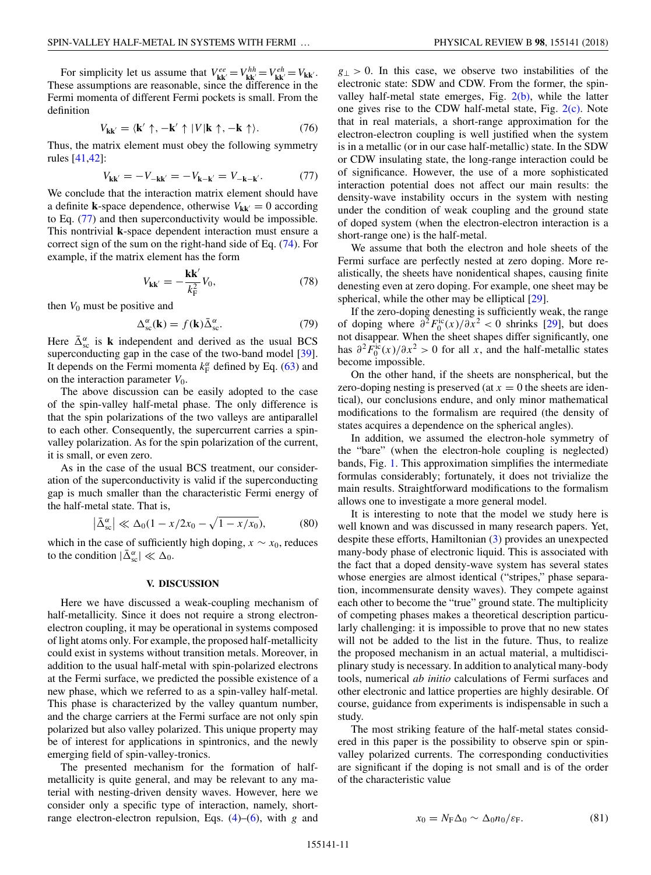<span id="page-10-0"></span>For simplicity let us assume that  $V_{kk}^{ee} = V_{kk}^{hh} = V_{kk}^{eh} = V_{kk}$ . These assumptions are reasonable, since the difference in the Fermi momenta of different Fermi pockets is small. From the definition

$$
V_{\mathbf{k}\mathbf{k}'} = \langle \mathbf{k}' \uparrow, -\mathbf{k}' \uparrow |V|\mathbf{k} \uparrow, -\mathbf{k} \uparrow \rangle. \tag{76}
$$

Thus, the matrix element must obey the following symmetry rules [\[41,42\]](#page-12-0):

$$
V_{\mathbf{k}\mathbf{k}'} = -V_{-\mathbf{k}\mathbf{k}'} = -V_{\mathbf{k}-\mathbf{k}'} = V_{-\mathbf{k}-\mathbf{k}'}.\tag{77}
$$

We conclude that the interaction matrix element should have a definite **k**-space dependence, otherwise  $V_{kk'} = 0$  according to Eq. (77) and then superconductivity would be impossible. This nontrivial **k**-space dependent interaction must ensure a correct sign of the sum on the right-hand side of Eq. [\(74\)](#page-9-0). For example, if the matrix element has the form

$$
V_{\mathbf{k}\mathbf{k}'} = -\frac{\mathbf{k}\mathbf{k}'}{k_{\mathrm{F}}^2} V_0,\tag{78}
$$

then  $V_0$  must be positive and

$$
\Delta_{\rm sc}^{\alpha}(\mathbf{k}) = f(\mathbf{k}) \bar{\Delta}_{\rm sc}^{\alpha}.
$$
 (79)

Here  $\bar{\Delta}_{\rm sc}^{\alpha}$  is **k** independent and derived as the usual BCS superconducting gap in the case of the two-band model [\[39\]](#page-12-0). It depends on the Fermi momenta  $k_F^{\alpha}$  defined by Eq. [\(63\)](#page-8-0) and on the interaction parameter  $V_0$ .

The above discussion can be easily adopted to the case of the spin-valley half-metal phase. The only difference is that the spin polarizations of the two valleys are antiparallel to each other. Consequently, the supercurrent carries a spinvalley polarization. As for the spin polarization of the current, it is small, or even zero.

As in the case of the usual BCS treatment, our consideration of the superconductivity is valid if the superconducting gap is much smaller than the characteristic Fermi energy of the half-metal state. That is,

$$
\left|\bar{\Delta}_{\rm sc}^{\alpha}\right| \ll \Delta_0 (1 - x/2x_0 - \sqrt{1 - x/x_0}),\tag{80}
$$

which in the case of sufficiently high doping,  $x \sim x_0$ , reduces to the condition  $|\bar{\Delta}_{\text{sc}}^{\alpha}| \ll \Delta_0$ .

### **V. DISCUSSION**

Here we have discussed a weak-coupling mechanism of half-metallicity. Since it does not require a strong electronelectron coupling, it may be operational in systems composed of light atoms only. For example, the proposed half-metallicity could exist in systems without transition metals. Moreover, in addition to the usual half-metal with spin-polarized electrons at the Fermi surface, we predicted the possible existence of a new phase, which we referred to as a spin-valley half-metal. This phase is characterized by the valley quantum number, and the charge carriers at the Fermi surface are not only spin polarized but also valley polarized. This unique property may be of interest for applications in spintronics, and the newly emerging field of spin-valley-tronics.

The presented mechanism for the formation of halfmetallicity is quite general, and may be relevant to any material with nesting-driven density waves. However, here we consider only a specific type of interaction, namely, shortrange electron-electron repulsion, Eqs. [\(4\)](#page-1-0)–[\(6\)](#page-2-0), with *g* and  $g_{\perp}$  > 0. In this case, we observe two instabilities of the electronic state: SDW and CDW. From the former, the spinvalley half-metal state emerges, Fig.  $2(b)$ , while the latter one gives rise to the CDW half-metal state, Fig. [2\(c\).](#page-3-0) Note that in real materials, a short-range approximation for the electron-electron coupling is well justified when the system is in a metallic (or in our case half-metallic) state. In the SDW or CDW insulating state, the long-range interaction could be of significance. However, the use of a more sophisticated interaction potential does not affect our main results: the density-wave instability occurs in the system with nesting under the condition of weak coupling and the ground state of doped system (when the electron-electron interaction is a short-range one) is the half-metal.

We assume that both the electron and hole sheets of the Fermi surface are perfectly nested at zero doping. More realistically, the sheets have nonidentical shapes, causing finite denesting even at zero doping. For example, one sheet may be spherical, while the other may be elliptical [\[29\]](#page-12-0).

If the zero-doping denesting is sufficiently weak, the range of doping where  $\partial^2 F_0^{\text{ic}}(x)/\partial x^2 < 0$  shrinks [\[29\]](#page-12-0), but does not disappear. When the sheet shapes differ significantly, one has  $\partial^2 F_0^{\text{ic}}(x)/\partial x^2 > 0$  for all *x*, and the half-metallic states become impossible.

On the other hand, if the sheets are nonspherical, but the zero-doping nesting is preserved (at  $x = 0$  the sheets are identical), our conclusions endure, and only minor mathematical modifications to the formalism are required (the density of states acquires a dependence on the spherical angles).

In addition, we assumed the electron-hole symmetry of the "bare" (when the electron-hole coupling is neglected) bands, Fig. [1.](#page-1-0) This approximation simplifies the intermediate formulas considerably; fortunately, it does not trivialize the main results. Straightforward modifications to the formalism allows one to investigate a more general model.

It is interesting to note that the model we study here is well known and was discussed in many research papers. Yet, despite these efforts, Hamiltonian [\(3\)](#page-1-0) provides an unexpected many-body phase of electronic liquid. This is associated with the fact that a doped density-wave system has several states whose energies are almost identical ("stripes," phase separation, incommensurate density waves). They compete against each other to become the "true" ground state. The multiplicity of competing phases makes a theoretical description particularly challenging: it is impossible to prove that no new states will not be added to the list in the future. Thus, to realize the proposed mechanism in an actual material, a multidisciplinary study is necessary. In addition to analytical many-body tools, numerical *ab initio* calculations of Fermi surfaces and other electronic and lattice properties are highly desirable. Of course, guidance from experiments is indispensable in such a study.

The most striking feature of the half-metal states considered in this paper is the possibility to observe spin or spinvalley polarized currents. The corresponding conductivities are significant if the doping is not small and is of the order of the characteristic value

$$
x_0 = N_{\rm F} \Delta_0 \sim \Delta_0 n_0 / \varepsilon_{\rm F}.
$$
 (81)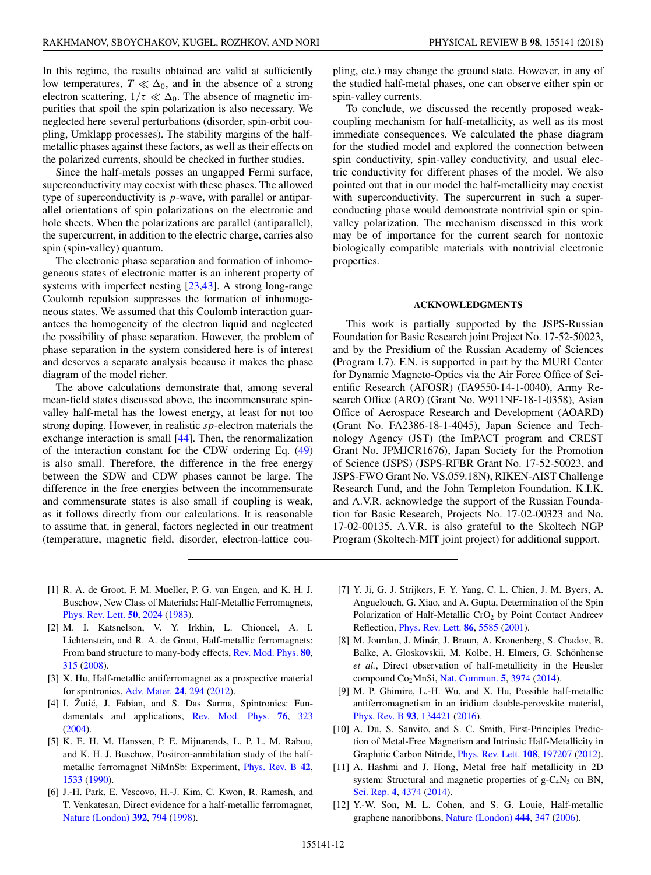<span id="page-11-0"></span>In this regime, the results obtained are valid at sufficiently low temperatures,  $T \ll \Delta_0$ , and in the absence of a strong electron scattering,  $1/\tau \ll \Delta_0$ . The absence of magnetic impurities that spoil the spin polarization is also necessary. We neglected here several perturbations (disorder, spin-orbit coupling, Umklapp processes). The stability margins of the halfmetallic phases against these factors, as well as their effects on the polarized currents, should be checked in further studies.

Since the half-metals posses an ungapped Fermi surface, superconductivity may coexist with these phases. The allowed type of superconductivity is *p*-wave, with parallel or antiparallel orientations of spin polarizations on the electronic and hole sheets. When the polarizations are parallel (antiparallel), the supercurrent, in addition to the electric charge, carries also spin (spin-valley) quantum.

The electronic phase separation and formation of inhomogeneous states of electronic matter is an inherent property of systems with imperfect nesting [\[23,43\]](#page-12-0). A strong long-range Coulomb repulsion suppresses the formation of inhomogeneous states. We assumed that this Coulomb interaction guarantees the homogeneity of the electron liquid and neglected the possibility of phase separation. However, the problem of phase separation in the system considered here is of interest and deserves a separate analysis because it makes the phase diagram of the model richer.

The above calculations demonstrate that, among several mean-field states discussed above, the incommensurate spinvalley half-metal has the lowest energy, at least for not too strong doping. However, in realistic *sp*-electron materials the exchange interaction is small [\[44\]](#page-12-0). Then, the renormalization of the interaction constant for the CDW ordering Eq. [\(49\)](#page-6-0) is also small. Therefore, the difference in the free energy between the SDW and CDW phases cannot be large. The difference in the free energies between the incommensurate and commensurate states is also small if coupling is weak, as it follows directly from our calculations. It is reasonable to assume that, in general, factors neglected in our treatment (temperature, magnetic field, disorder, electron-lattice coupling, etc.) may change the ground state. However, in any of the studied half-metal phases, one can observe either spin or spin-valley currents.

To conclude, we discussed the recently proposed weakcoupling mechanism for half-metallicity, as well as its most immediate consequences. We calculated the phase diagram for the studied model and explored the connection between spin conductivity, spin-valley conductivity, and usual electric conductivity for different phases of the model. We also pointed out that in our model the half-metallicity may coexist with superconductivity. The supercurrent in such a superconducting phase would demonstrate nontrivial spin or spinvalley polarization. The mechanism discussed in this work may be of importance for the current search for nontoxic biologically compatible materials with nontrivial electronic properties.

## **ACKNOWLEDGMENTS**

This work is partially supported by the JSPS-Russian Foundation for Basic Research joint Project No. 17-52-50023, and by the Presidium of the Russian Academy of Sciences (Program I.7). F.N. is supported in part by the MURI Center for Dynamic Magneto-Optics via the Air Force Office of Scientific Research (AFOSR) (FA9550-14-1-0040), Army Research Office (ARO) (Grant No. W911NF-18-1-0358), Asian Office of Aerospace Research and Development (AOARD) (Grant No. FA2386-18-1-4045), Japan Science and Technology Agency (JST) (the ImPACT program and CREST Grant No. JPMJCR1676), Japan Society for the Promotion of Science (JSPS) (JSPS-RFBR Grant No. 17-52-50023, and JSPS-FWO Grant No. VS.059.18N), RIKEN-AIST Challenge Research Fund, and the John Templeton Foundation. K.I.K. and A.V.R. acknowledge the support of the Russian Foundation for Basic Research, Projects No. 17-02-00323 and No. 17-02-00135. A.V.R. is also grateful to the Skoltech NGP Program (Skoltech-MIT joint project) for additional support.

- [1] R. A. de Groot, F. M. Mueller, P. G. van Engen, and K. H. J. Buschow, New Class of Materials: Half-Metallic Ferromagnets, [Phys. Rev. Lett.](https://doi.org/10.1103/PhysRevLett.50.2024) **[50](https://doi.org/10.1103/PhysRevLett.50.2024)**, [2024](https://doi.org/10.1103/PhysRevLett.50.2024) [\(1983\)](https://doi.org/10.1103/PhysRevLett.50.2024).
- [2] M. I. Katsnelson, V. Y. Irkhin, L. Chioncel, A. I. Lichtenstein, and R. A. de Groot, Half-metallic ferromagnets: From band structure to many-body effects, [Rev. Mod. Phys.](https://doi.org/10.1103/RevModPhys.80.315) **[80](https://doi.org/10.1103/RevModPhys.80.315)**, [315](https://doi.org/10.1103/RevModPhys.80.315) [\(2008\)](https://doi.org/10.1103/RevModPhys.80.315).
- [3] X. Hu, Half-metallic antiferromagnet as a prospective material for spintronics, [Adv. Mater.](https://doi.org/10.1002/adma.201102555) **[24](https://doi.org/10.1002/adma.201102555)**, [294](https://doi.org/10.1002/adma.201102555) [\(2012\)](https://doi.org/10.1002/adma.201102555).
- [4] I. Žutić, J. Fabian, and S. Das Sarma, Spintronics: Fundamentals and applications, [Rev. Mod. Phys.](https://doi.org/10.1103/RevModPhys.76.323) **[76](https://doi.org/10.1103/RevModPhys.76.323)**, [323](https://doi.org/10.1103/RevModPhys.76.323) [\(2004\)](https://doi.org/10.1103/RevModPhys.76.323).
- [5] K. E. H. M. Hanssen, P. E. Mijnarends, L. P. L. M. Rabou, and K. H. J. Buschow, Positron-annihilation study of the halfmetallic ferromagnet NiMnSb: Experiment, [Phys. Rev. B](https://doi.org/10.1103/PhysRevB.42.1533) **[42](https://doi.org/10.1103/PhysRevB.42.1533)**, [1533](https://doi.org/10.1103/PhysRevB.42.1533) [\(1990\)](https://doi.org/10.1103/PhysRevB.42.1533).
- [6] J.-H. Park, E. Vescovo, H.-J. Kim, C. Kwon, R. Ramesh, and T. Venkatesan, Direct evidence for a half-metallic ferromagnet, [Nature \(London\)](https://doi.org/10.1038/33883) **[392](https://doi.org/10.1038/33883)**, [794](https://doi.org/10.1038/33883) [\(1998\)](https://doi.org/10.1038/33883).
- [7] Y. Ji, G. J. Strijkers, F. Y. Yang, C. L. Chien, J. M. Byers, A. Anguelouch, G. Xiao, and A. Gupta, Determination of the Spin Polarization of Half-Metallic CrO<sub>2</sub> by Point Contact Andreev Reflection, [Phys. Rev. Lett.](https://doi.org/10.1103/PhysRevLett.86.5585) **[86](https://doi.org/10.1103/PhysRevLett.86.5585)**, [5585](https://doi.org/10.1103/PhysRevLett.86.5585) [\(2001\)](https://doi.org/10.1103/PhysRevLett.86.5585).
- [8] M. Jourdan, J. Minár, J. Braun, A. Kronenberg, S. Chadov, B. Balke, A. Gloskovskii, M. Kolbe, H. Elmers, G. Schönhense *et al.*, Direct observation of half-metallicity in the Heusler compound Co2MnSi, [Nat. Commun.](https://doi.org/10.1038/ncomms4974) **[5](https://doi.org/10.1038/ncomms4974)**, [3974](https://doi.org/10.1038/ncomms4974) [\(2014\)](https://doi.org/10.1038/ncomms4974).
- [9] M. P. Ghimire, L.-H. Wu, and X. Hu, Possible half-metallic antiferromagnetism in an iridium double-perovskite material, [Phys. Rev. B](https://doi.org/10.1103/PhysRevB.93.134421) **[93](https://doi.org/10.1103/PhysRevB.93.134421)**, [134421](https://doi.org/10.1103/PhysRevB.93.134421) [\(2016\)](https://doi.org/10.1103/PhysRevB.93.134421).
- [10] A. Du, S. Sanvito, and S. C. Smith, First-Principles Prediction of Metal-Free Magnetism and Intrinsic Half-Metallicity in Graphitic Carbon Nitride, [Phys. Rev. Lett.](https://doi.org/10.1103/PhysRevLett.108.197207) **[108](https://doi.org/10.1103/PhysRevLett.108.197207)**, [197207](https://doi.org/10.1103/PhysRevLett.108.197207) [\(2012\)](https://doi.org/10.1103/PhysRevLett.108.197207).
- [11] A. Hashmi and J. Hong, Metal free half metallicity in 2D system: Structural and magnetic properties of  $g-C_4N_3$  on BN, [Sci. Rep.](https://doi.org/10.1038/srep04374) **[4](https://doi.org/10.1038/srep04374)**, [4374](https://doi.org/10.1038/srep04374) [\(2014\)](https://doi.org/10.1038/srep04374).
- [12] Y.-W. Son, M. L. Cohen, and S. G. Louie, Half-metallic graphene nanoribbons, [Nature \(London\)](https://doi.org/10.1038/nature05180) **[444](https://doi.org/10.1038/nature05180)**, [347](https://doi.org/10.1038/nature05180) [\(2006\)](https://doi.org/10.1038/nature05180).